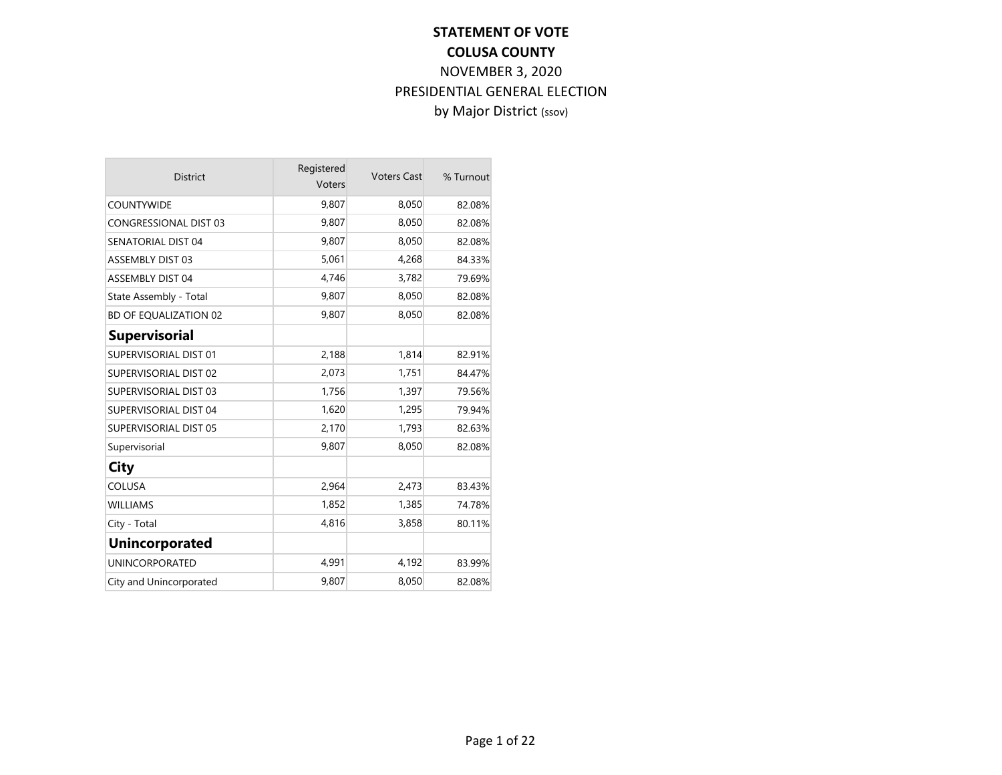| <b>District</b>              | Registered<br>Voters | <b>Voters Cast</b> | % Turnout |
|------------------------------|----------------------|--------------------|-----------|
| <b>COUNTYWIDE</b>            | 9,807                | 8,050              | 82.08%    |
| <b>CONGRESSIONAL DIST 03</b> | 9,807                | 8,050              | 82.08%    |
| <b>SENATORIAL DIST 04</b>    | 9,807                | 8,050              | 82.08%    |
| <b>ASSEMBLY DIST 03</b>      | 5,061                | 4,268              | 84.33%    |
| <b>ASSEMBLY DIST 04</b>      | 4,746                | 3,782              | 79.69%    |
| State Assembly - Total       | 9,807                | 8,050              | 82.08%    |
| <b>BD OF EQUALIZATION 02</b> | 9,807                | 8,050              | 82.08%    |
| <b>Supervisorial</b>         |                      |                    |           |
| SUPERVISORIAL DIST 01        | 2,188                | 1,814              | 82.91%    |
| SUPERVISORIAL DIST 02        | 2,073                | 1,751              | 84.47%    |
| SUPERVISORIAL DIST 03        | 1,756                | 1,397              | 79.56%    |
| SUPERVISORIAL DIST 04        | 1,620                | 1,295              | 79.94%    |
| <b>SUPERVISORIAL DIST 05</b> | 2,170                | 1,793              | 82.63%    |
| Supervisorial                | 9,807                | 8,050              | 82.08%    |
| City                         |                      |                    |           |
| <b>COLUSA</b>                | 2,964                | 2,473              | 83.43%    |
| <b>WILLIAMS</b>              | 1,852                | 1,385              | 74.78%    |
| City - Total                 | 4,816                | 3,858              | 80.11%    |
| <b>Unincorporated</b>        |                      |                    |           |
| <b>UNINCORPORATED</b>        | 4,991                | 4,192              | 83.99%    |
| City and Unincorporated      | 9,807                | 8,050              | 82.08%    |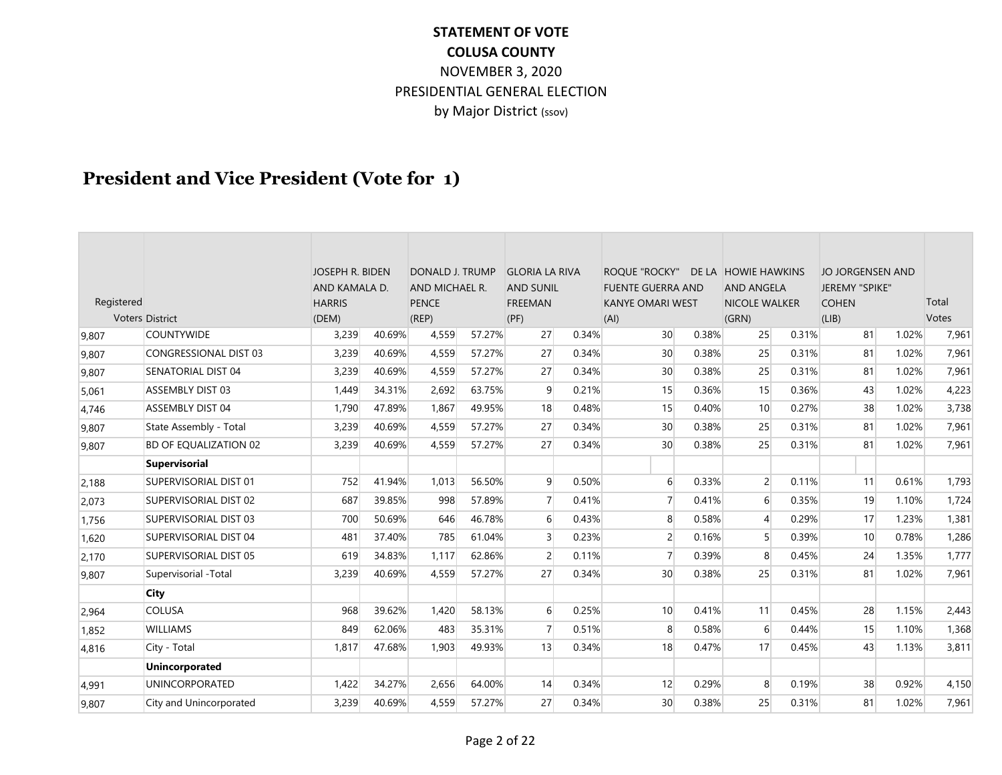## **President and Vice President (Vote for 1)**

| Registered | Voters District              | <b>JOSEPH R. BIDEN</b><br>AND KAMALA D.<br><b>HARRIS</b><br>(DEM) |        | DONALD J. TRUMP<br>AND MICHAEL R.<br><b>PENCE</b><br>(REP) |        | <b>GLORIA LA RIVA</b><br><b>AND SUNIL</b><br><b>FREEMAN</b><br>(PF) |       | <b>ROOUE "ROCKY"</b><br><b>FUENTE GUERRA AND</b><br><b>KANYE OMARI WEST</b><br>(AI) |       | DE LA HOWIE HAWKINS<br><b>AND ANGELA</b><br><b>NICOLE WALKER</b><br>(GRN) |       | JO JORGENSEN AND<br>JEREMY "SPIKE"<br><b>COHEN</b><br>(LIB) |       | Total<br>Votes |
|------------|------------------------------|-------------------------------------------------------------------|--------|------------------------------------------------------------|--------|---------------------------------------------------------------------|-------|-------------------------------------------------------------------------------------|-------|---------------------------------------------------------------------------|-------|-------------------------------------------------------------|-------|----------------|
| 9.807      | <b>COUNTYWIDE</b>            | 3,239                                                             | 40.69% | 4,559                                                      | 57.27% | 27                                                                  | 0.34% | 30 <sup>°</sup>                                                                     | 0.38% | 25                                                                        | 0.31% | 81                                                          | 1.02% | 7,961          |
| 9,807      | <b>CONGRESSIONAL DIST 03</b> | 3,239                                                             | 40.69% | 4,559                                                      | 57.27% | 27                                                                  | 0.34% | 30 <sup>°</sup>                                                                     | 0.38% | 25                                                                        | 0.31% | 81                                                          | 1.02% | 7,961          |
| 9,807      | <b>SENATORIAL DIST 04</b>    | 3,239                                                             | 40.69% | 4,559                                                      | 57.27% | 27                                                                  | 0.34% | 30 <sup>°</sup>                                                                     | 0.38% | 25                                                                        | 0.31% | 81                                                          | 1.02% | 7,961          |
| 5,061      | <b>ASSEMBLY DIST 03</b>      | 1,449                                                             | 34.31% | 2,692                                                      | 63.75% | 9                                                                   | 0.21% | 15                                                                                  | 0.36% | 15                                                                        | 0.36% | 43                                                          | 1.02% | 4,223          |
| 4.746      | <b>ASSEMBLY DIST 04</b>      | 1,790                                                             | 47.89% | 1,867                                                      | 49.95% | 18                                                                  | 0.48% | 15                                                                                  | 0.40% | 10 <sup>1</sup>                                                           | 0.27% | 38                                                          | 1.02% | 3,738          |
| 9,807      | State Assembly - Total       | 3,239                                                             | 40.69% | 4,559                                                      | 57.27% | 27                                                                  | 0.34% | 30 <sup>°</sup>                                                                     | 0.38% | 25                                                                        | 0.31% | 81                                                          | 1.02% | 7,961          |
| 9.807      | <b>BD OF EQUALIZATION 02</b> | 3,239                                                             | 40.69% | 4,559                                                      | 57.27% | 27                                                                  | 0.34% | 30                                                                                  | 0.38% | 25                                                                        | 0.31% | 81                                                          | 1.02% | 7,961          |
|            | <b>Supervisorial</b>         |                                                                   |        |                                                            |        |                                                                     |       |                                                                                     |       |                                                                           |       |                                                             |       |                |
| 2,188      | <b>SUPERVISORIAL DIST 01</b> | 752                                                               | 41.94% | 1,013                                                      | 56.50% | $\overline{9}$                                                      | 0.50% | 6                                                                                   | 0.33% | $\overline{2}$                                                            | 0.11% | 11                                                          | 0.61% | 1,793          |
| 2,073      | SUPERVISORIAL DIST 02        | 687                                                               | 39.85% | 998                                                        | 57.89% | $\overline{7}$                                                      | 0.41% | $\overline{7}$                                                                      | 0.41% | 6                                                                         | 0.35% | 19                                                          | 1.10% | 1,724          |
| 1,756      | SUPERVISORIAL DIST 03        | 700                                                               | 50.69% | 646                                                        | 46.78% | $6 \overline{6}$                                                    | 0.43% | 8                                                                                   | 0.58% | $\overline{4}$                                                            | 0.29% | 17                                                          | 1.23% | 1,381          |
| 1,620      | <b>SUPERVISORIAL DIST 04</b> | 481                                                               | 37.40% | 785                                                        | 61.04% | $\overline{3}$                                                      | 0.23% | 2                                                                                   | 0.16% | 5                                                                         | 0.39% | 10                                                          | 0.78% | 1,286          |
| 2,170      | SUPERVISORIAL DIST 05        | 619                                                               | 34.83% | 1,117                                                      | 62.86% | $\overline{2}$                                                      | 0.11% | $\overline{7}$                                                                      | 0.39% | 8                                                                         | 0.45% | 24                                                          | 1.35% | 1,777          |
| 9,807      | Supervisorial -Total         | 3,239                                                             | 40.69% | 4,559                                                      | 57.27% | 27                                                                  | 0.34% | 30                                                                                  | 0.38% | 25                                                                        | 0.31% | 81                                                          | 1.02% | 7,961          |
|            | <b>City</b>                  |                                                                   |        |                                                            |        |                                                                     |       |                                                                                     |       |                                                                           |       |                                                             |       |                |
| 2.964      | <b>COLUSA</b>                | 968                                                               | 39.62% | 1,420                                                      | 58.13% | $6 \overline{6}$                                                    | 0.25% | 10 <sup>1</sup>                                                                     | 0.41% | 11                                                                        | 0.45% | 28                                                          | 1.15% | 2,443          |
| 1,852      | <b>WILLIAMS</b>              | 849                                                               | 62.06% | 483                                                        | 35.31% | $\overline{7}$                                                      | 0.51% | 8                                                                                   | 0.58% | 6                                                                         | 0.44% | 15                                                          | 1.10% | 1,368          |
| 4,816      | City - Total                 | 1,817                                                             | 47.68% | 1,903                                                      | 49.93% | 13                                                                  | 0.34% | 18                                                                                  | 0.47% | 17                                                                        | 0.45% | 43                                                          | 1.13% | 3,811          |
|            | <b>Unincorporated</b>        |                                                                   |        |                                                            |        |                                                                     |       |                                                                                     |       |                                                                           |       |                                                             |       |                |
| 4,991      | <b>UNINCORPORATED</b>        | 1,422                                                             | 34.27% | 2,656                                                      | 64.00% | 14                                                                  | 0.34% | 12                                                                                  | 0.29% | 8                                                                         | 0.19% | 38                                                          | 0.92% | 4,150          |
| 9,807      | City and Unincorporated      | 3,239                                                             | 40.69% | 4,559                                                      | 57.27% | 27                                                                  | 0.34% | 30 <sup>°</sup>                                                                     | 0.38% | 25                                                                        | 0.31% | 81                                                          | 1.02% | 7,961          |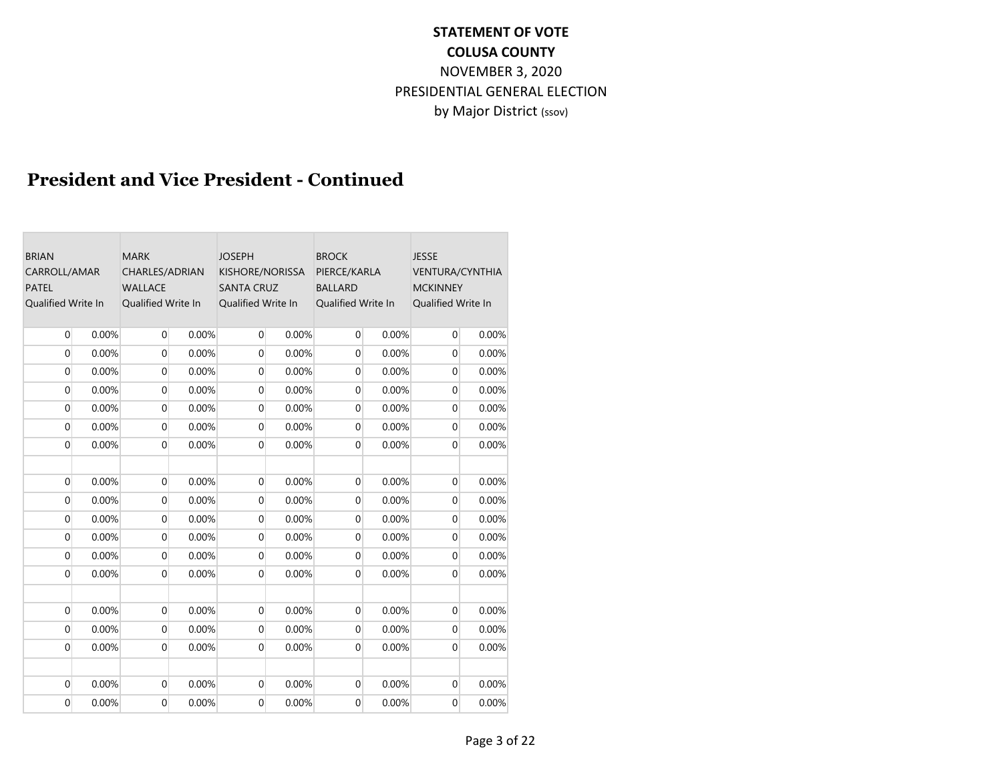## **President and Vice President - Continued**

| <b>BRIAN</b><br>CARROLL/AMAR<br><b>PATEL</b><br><b>Oualified Write In</b> |       | <b>MARK</b><br>CHARLES/ADRIAN<br><b>WALLACE</b><br>Qualified Write In |       | <b>JOSEPH</b><br>KISHORE/NORISSA<br><b>SANTA CRUZ</b><br>Qualified Write In |       | <b>BROCK</b><br>PIERCE/KARLA<br><b>BALLARD</b><br>Qualified Write In |       | <b>JESSE</b><br><b>VENTURA/CYNTHIA</b><br><b>MCKINNEY</b><br>Qualified Write In |       |  |
|---------------------------------------------------------------------------|-------|-----------------------------------------------------------------------|-------|-----------------------------------------------------------------------------|-------|----------------------------------------------------------------------|-------|---------------------------------------------------------------------------------|-------|--|
| $\overline{0}$                                                            | 0.00% | $\overline{0}$                                                        | 0.00% | $\overline{0}$                                                              | 0.00% | $\overline{0}$                                                       | 0.00% | $\overline{0}$                                                                  | 0.00% |  |
| $\overline{0}$                                                            | 0.00% | $\mathbf 0$                                                           | 0.00% | $\overline{0}$                                                              | 0.00% | $\overline{0}$                                                       | 0.00% | $\overline{0}$                                                                  | 0.00% |  |
| $\overline{0}$                                                            | 0.00% | $\overline{0}$                                                        | 0.00% | $\mathbf{0}$                                                                | 0.00% | $\overline{0}$                                                       | 0.00% | $\overline{0}$                                                                  | 0.00% |  |
| $\Omega$                                                                  | 0.00% | $\mathbf 0$                                                           | 0.00% | $\overline{0}$                                                              | 0.00% | $\overline{0}$                                                       | 0.00% | $\overline{0}$                                                                  | 0.00% |  |
| $\mathbf 0$                                                               | 0.00% | $\mathbf 0$                                                           | 0.00% | $\mathbf 0$                                                                 | 0.00% | $\overline{0}$                                                       | 0.00% | $\mathbf 0$                                                                     | 0.00% |  |
| $\mathbf{0}$                                                              | 0.00% | $\mathbf 0$                                                           | 0.00% | $\overline{0}$                                                              | 0.00% | $\overline{0}$                                                       | 0.00% | $\overline{0}$                                                                  | 0.00% |  |
| $\Omega$                                                                  | 0.00% | $\overline{0}$                                                        | 0.00% | $\overline{0}$                                                              | 0.00% | $\overline{0}$                                                       | 0.00% | $\overline{0}$                                                                  | 0.00% |  |
| $\overline{0}$                                                            | 0.00% | $\mathbf 0$                                                           | 0.00% | $\overline{0}$                                                              | 0.00% | $\overline{0}$                                                       | 0.00% | $\overline{0}$                                                                  | 0.00% |  |
| $\Omega$                                                                  | 0.00% | $\mathbf 0$                                                           | 0.00% | $\overline{0}$                                                              | 0.00% | $\overline{0}$                                                       | 0.00% | $\overline{0}$                                                                  | 0.00% |  |
| $\overline{0}$                                                            | 0.00% | $\mathbf 0$                                                           | 0.00% | $\overline{0}$                                                              | 0.00% | $\overline{0}$                                                       | 0.00% | $\overline{0}$                                                                  | 0.00% |  |
| $\overline{0}$                                                            | 0.00% | $\overline{0}$                                                        | 0.00% | $\mathbf 0$                                                                 | 0.00% | $\overline{0}$                                                       | 0.00% | $\boldsymbol{0}$                                                                | 0.00% |  |
| $\mathbf{0}$                                                              | 0.00% | $\mathbf{0}$                                                          | 0.00% | $\mathbf{0}$                                                                | 0.00% | 0                                                                    | 0.00% | $\overline{0}$                                                                  | 0.00% |  |
| $\Omega$                                                                  | 0.00% | $\Omega$                                                              | 0.00% | $\mathbf{0}$                                                                | 0.00% | $\overline{0}$                                                       | 0.00% | $\Omega$                                                                        | 0.00% |  |
|                                                                           |       |                                                                       |       |                                                                             |       |                                                                      |       |                                                                                 |       |  |
| $\overline{0}$                                                            | 0.00% | $\overline{0}$                                                        | 0.00% | $\overline{0}$                                                              | 0.00% | $\overline{0}$                                                       | 0.00% | $\overline{0}$                                                                  | 0.00% |  |
| $\overline{0}$                                                            | 0.00% | $\mathbf 0$                                                           | 0.00% | $\mathbf 0$                                                                 | 0.00% | $\overline{0}$                                                       | 0.00% | $\mathbf 0$                                                                     | 0.00% |  |
| $\overline{0}$                                                            | 0.00% | $\overline{0}$                                                        | 0.00% | $\overline{0}$                                                              | 0.00% | $\overline{0}$                                                       | 0.00% | $\overline{0}$                                                                  | 0.00% |  |
|                                                                           |       |                                                                       |       |                                                                             |       |                                                                      |       |                                                                                 |       |  |
| $\overline{0}$                                                            | 0.00% | $\overline{0}$                                                        | 0.00% | $\overline{0}$                                                              | 0.00% | $\overline{0}$                                                       | 0.00% | $\overline{0}$                                                                  | 0.00% |  |
| $\mathbf{0}$                                                              | 0.00% | $\mathbf 0$                                                           | 0.00% | 0                                                                           | 0.00% | $\overline{0}$                                                       | 0.00% | 0                                                                               | 0.00% |  |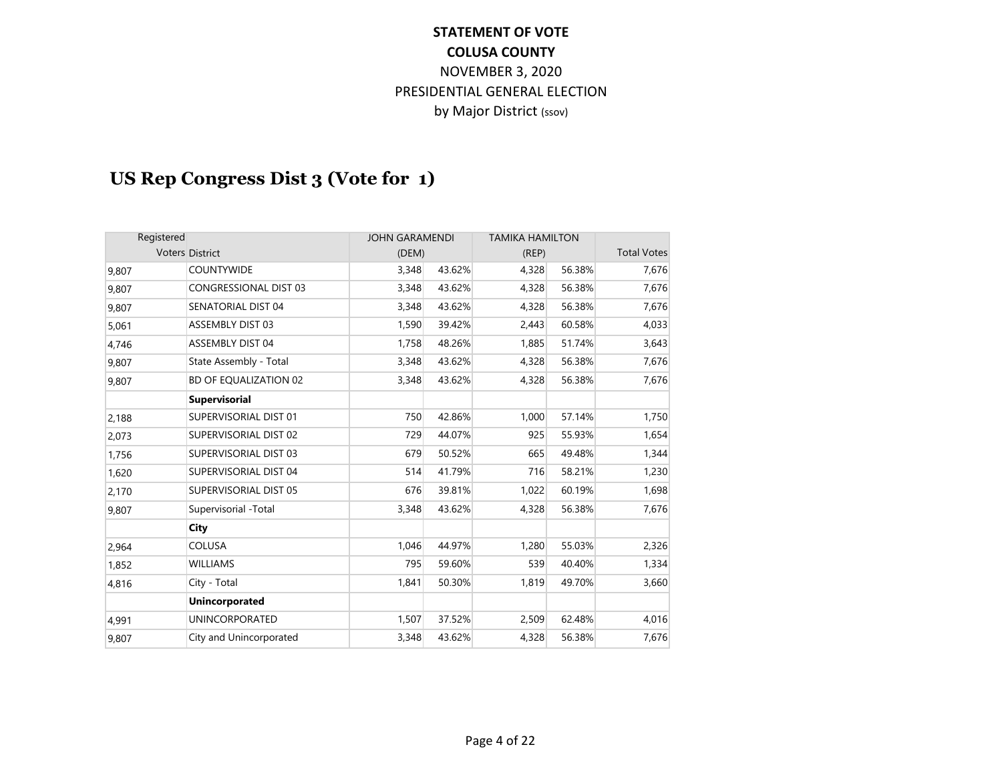# **US Rep Congress Dist 3 (Vote for 1)**

| Registered |                              | <b>JOHN GARAMENDI</b> |        | <b>TAMIKA HAMILTON</b> |        |                    |
|------------|------------------------------|-----------------------|--------|------------------------|--------|--------------------|
|            | <b>Voters District</b>       | (DEM)                 |        | (REP)                  |        | <b>Total Votes</b> |
| 9,807      | <b>COUNTYWIDE</b>            | 3,348                 | 43.62% | 4,328                  | 56.38% | 7,676              |
| 9,807      | <b>CONGRESSIONAL DIST 03</b> | 3,348                 | 43.62% | 4,328                  | 56.38% | 7,676              |
| 9,807      | SENATORIAL DIST 04           | 3,348                 | 43.62% | 4,328                  | 56.38% | 7,676              |
| 5,061      | <b>ASSEMBLY DIST 03</b>      | 1,590                 | 39.42% | 2,443                  | 60.58% | 4,033              |
| 4,746      | ASSEMBLY DIST 04             | 1,758                 | 48.26% | 1,885                  | 51.74% | 3,643              |
| 9,807      | State Assembly - Total       | 3,348                 | 43.62% | 4,328                  | 56.38% | 7,676              |
| 9,807      | <b>BD OF EQUALIZATION 02</b> | 3,348                 | 43.62% | 4,328                  | 56.38% | 7,676              |
|            | <b>Supervisorial</b>         |                       |        |                        |        |                    |
| 2,188      | SUPERVISORIAL DIST 01        | 750                   | 42.86% | 1,000                  | 57.14% | 1,750              |
| 2,073      | SUPERVISORIAL DIST 02        | 729                   | 44.07% | 925                    | 55.93% | 1,654              |
| 1,756      | SUPERVISORIAL DIST 03        | 679                   | 50.52% | 665                    | 49.48% | 1,344              |
| 1,620      | SUPERVISORIAL DIST 04        | 514                   | 41.79% | 716                    | 58.21% | 1,230              |
| 2,170      | SUPERVISORIAL DIST 05        | 676                   | 39.81% | 1,022                  | 60.19% | 1,698              |
| 9,807      | Supervisorial -Total         | 3,348                 | 43.62% | 4,328                  | 56.38% | 7,676              |
|            | City                         |                       |        |                        |        |                    |
| 2,964      | <b>COLUSA</b>                | 1,046                 | 44.97% | 1,280                  | 55.03% | 2,326              |
| 1,852      | <b>WILLIAMS</b>              | 795                   | 59.60% | 539                    | 40.40% | 1,334              |
| 4,816      | City - Total                 | 1,841                 | 50.30% | 1,819                  | 49.70% | 3,660              |
|            | <b>Unincorporated</b>        |                       |        |                        |        |                    |
| 4,991      | <b>UNINCORPORATED</b>        | 1,507                 | 37.52% | 2,509                  | 62.48% | 4,016              |
| 9,807      | City and Unincorporated      | 3,348                 | 43.62% | 4,328                  | 56.38% | 7,676              |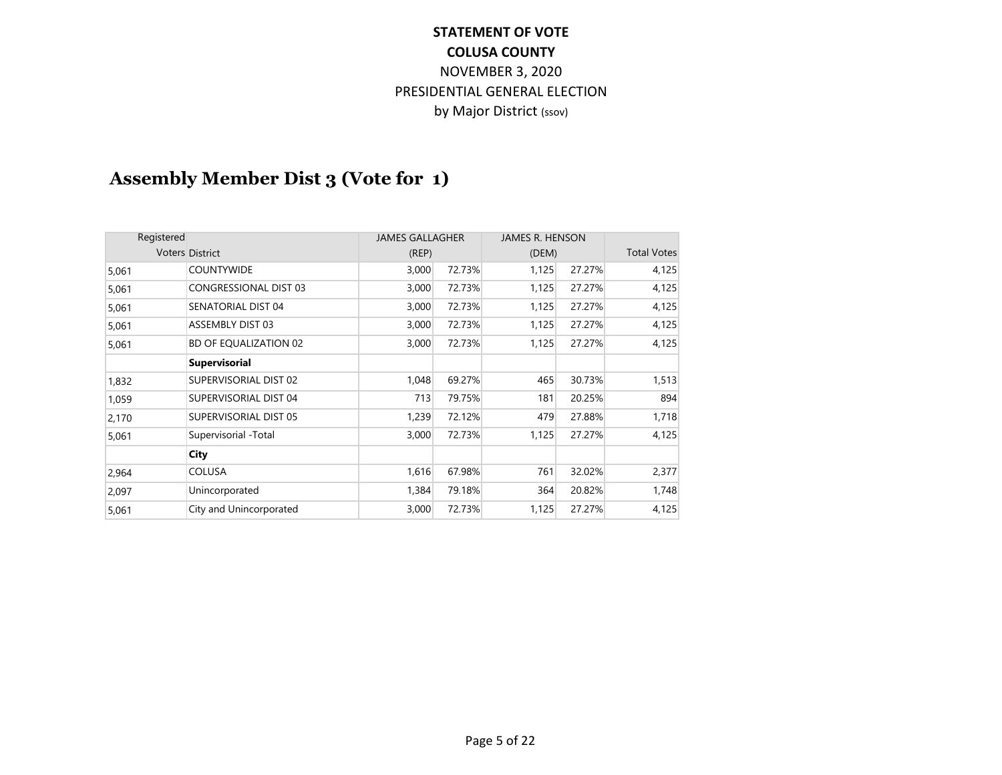# **Assembly Member Dist 3 (Vote for 1)**

| Registered |                              | <b>JAMES GALLAGHER</b> |        | JAMES R. HENSON |        |                    |
|------------|------------------------------|------------------------|--------|-----------------|--------|--------------------|
|            | <b>Voters District</b>       | (REP)                  |        | (DEM)           |        | <b>Total Votes</b> |
| 5,061      | <b>COUNTYWIDE</b>            | 3,000                  | 72.73% | 1,125           | 27.27% | 4,125              |
| 5,061      | <b>CONGRESSIONAL DIST 03</b> | 3,000                  | 72.73% | 1,125           | 27.27% | 4,125              |
| 5,061      | SENATORIAL DIST 04           | 3,000                  | 72.73% | 1,125           | 27.27% | 4,125              |
| 5,061      | <b>ASSEMBLY DIST 03</b>      | 3,000                  | 72.73% | 1,125           | 27.27% | 4,125              |
| 5,061      | BD OF EQUALIZATION 02        | 3,000                  | 72.73% | 1,125           | 27.27% | 4,125              |
|            | <b>Supervisorial</b>         |                        |        |                 |        |                    |
| 1,832      | SUPERVISORIAL DIST 02        | 1,048                  | 69.27% | 465             | 30.73% | 1,513              |
| 1,059      | SUPERVISORIAL DIST 04        | 713                    | 79.75% | 181             | 20.25% | 894                |
| 2,170      | SUPERVISORIAL DIST 05        | 1,239                  | 72.12% | 479             | 27.88% | 1,718              |
| 5,061      | Supervisorial -Total         | 3,000                  | 72.73% | 1,125           | 27.27% | 4,125              |
|            | City                         |                        |        |                 |        |                    |
| 2,964      | <b>COLUSA</b>                | 1,616                  | 67.98% | 761             | 32.02% | 2,377              |
| 2,097      | Unincorporated               | 1,384                  | 79.18% | 364             | 20.82% | 1,748              |
| 5,061      | City and Unincorporated      | 3,000                  | 72.73% | 1,125           | 27.27% | 4,125              |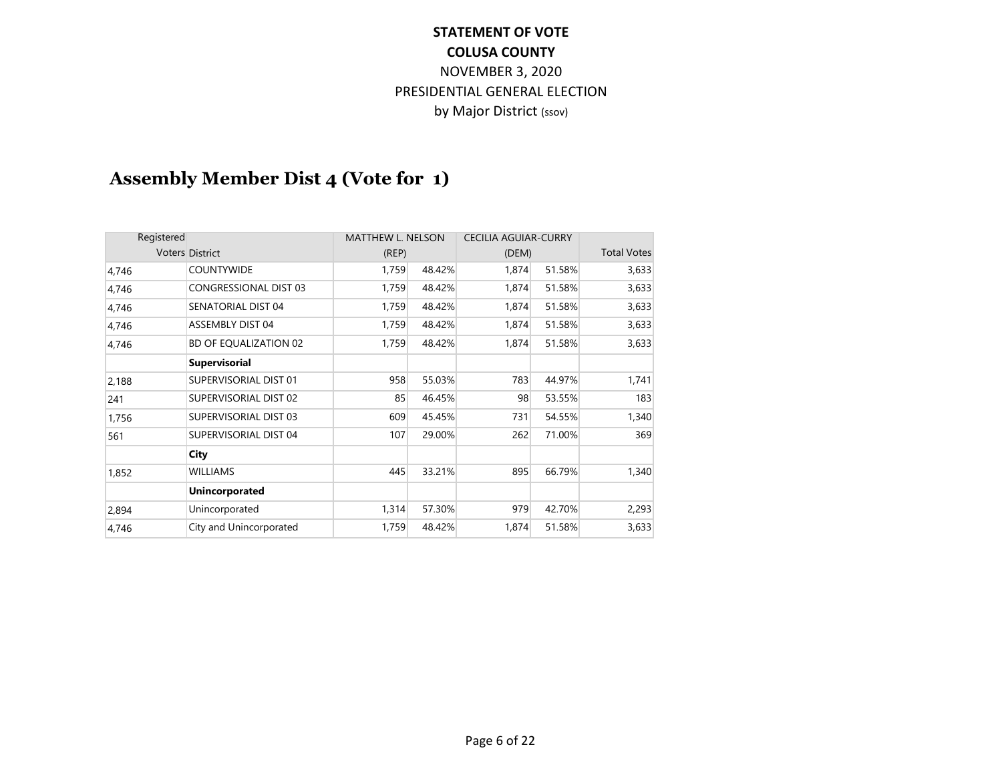# **Assembly Member Dist 4 (Vote for 1)**

|       | Registered                   |       | <b>MATTHEW L. NELSON</b> | <b>CECILIA AGUIAR-CURRY</b> |        |                    |
|-------|------------------------------|-------|--------------------------|-----------------------------|--------|--------------------|
|       | Voters District              | (REP) |                          | (DEM)                       |        | <b>Total Votes</b> |
| 4,746 | <b>COUNTYWIDE</b>            | 1,759 | 48.42%                   | 1,874                       | 51.58% | 3,633              |
| 4,746 | <b>CONGRESSIONAL DIST 03</b> | 1,759 | 48.42%                   | 1,874                       | 51.58% | 3,633              |
| 4,746 | SENATORIAL DIST 04           | 1,759 | 48.42%                   | 1,874                       | 51.58% | 3,633              |
| 4,746 | <b>ASSEMBLY DIST 04</b>      | 1,759 | 48.42%                   | 1,874                       | 51.58% | 3,633              |
| 4,746 | BD OF EQUALIZATION 02        | 1,759 | 48.42%                   | 1,874                       | 51.58% | 3,633              |
|       | <b>Supervisorial</b>         |       |                          |                             |        |                    |
| 2,188 | SUPERVISORIAL DIST 01        | 958   | 55.03%                   | 783                         | 44.97% | 1,741              |
| 241   | SUPERVISORIAL DIST 02        | 85    | 46.45%                   | 98                          | 53.55% | 183                |
| 1,756 | SUPERVISORIAL DIST 03        | 609   | 45.45%                   | 731                         | 54.55% | 1,340              |
| 561   | SUPERVISORIAL DIST 04        | 107   | 29.00%                   | 262                         | 71.00% | 369                |
|       | City                         |       |                          |                             |        |                    |
| 1,852 | <b>WILLIAMS</b>              | 445   | 33.21%                   | 895                         | 66.79% | 1,340              |
|       | <b>Unincorporated</b>        |       |                          |                             |        |                    |
| 2,894 | Unincorporated               | 1,314 | 57.30%                   | 979                         | 42.70% | 2,293              |
| 4,746 | City and Unincorporated      | 1,759 | 48.42%                   | 1,874                       | 51.58% | 3,633              |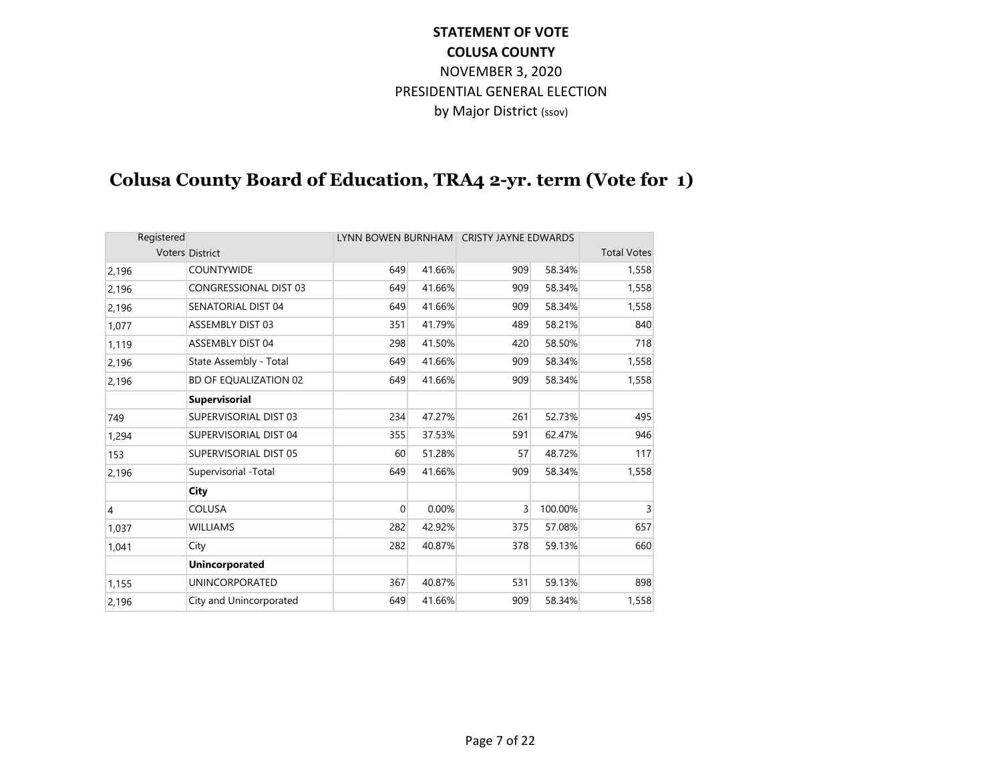# **Colusa County Board of Education, TRA4 2-yr. term (Vote for 1)**

| Registered     |                              |     |        | LYNN BOWEN BURNHAM CRISTY JAYNE EDWARDS |         |                    |
|----------------|------------------------------|-----|--------|-----------------------------------------|---------|--------------------|
|                | <b>Voters District</b>       |     |        |                                         |         | <b>Total Votes</b> |
| 2,196          | <b>COUNTYWIDE</b>            | 649 | 41.66% | 909                                     | 58.34%  | 1,558              |
| 2,196          | <b>CONGRESSIONAL DIST 03</b> | 649 | 41.66% | 909                                     | 58.34%  | 1,558              |
| 2,196          | SENATORIAL DIST 04           | 649 | 41.66% | 909                                     | 58.34%  | 1,558              |
| 1,077          | <b>ASSEMBLY DIST 03</b>      | 351 | 41.79% | 489                                     | 58.21%  | 840                |
| 1,119          | <b>ASSEMBLY DIST 04</b>      | 298 | 41.50% | 420                                     | 58.50%  | 718                |
| 2,196          | State Assembly - Total       | 649 | 41.66% | 909                                     | 58.34%  | 1,558              |
| 2,196          | BD OF EQUALIZATION 02        | 649 | 41.66% | 909                                     | 58.34%  | 1,558              |
|                | <b>Supervisorial</b>         |     |        |                                         |         |                    |
| 749            | SUPERVISORIAL DIST 03        | 234 | 47.27% | 261                                     | 52.73%  | 495                |
| 1,294          | SUPERVISORIAL DIST 04        | 355 | 37.53% | 591                                     | 62.47%  | 946                |
| 153            | SUPERVISORIAL DIST 05        | 60  | 51.28% | 57                                      | 48.72%  | 117                |
| 2,196          | Supervisorial -Total         | 649 | 41.66% | 909                                     | 58.34%  | 1,558              |
|                | City                         |     |        |                                         |         |                    |
| $\overline{4}$ | <b>COLUSA</b>                | 0   | 0.00%  | 3                                       | 100.00% | 3                  |
| 1,037          | <b>WILLIAMS</b>              | 282 | 42.92% | 375                                     | 57.08%  | 657                |
| 1,041          | City                         | 282 | 40.87% | 378                                     | 59.13%  | 660                |
|                | <b>Unincorporated</b>        |     |        |                                         |         |                    |
| 1,155          | <b>UNINCORPORATED</b>        | 367 | 40.87% | 531                                     | 59.13%  | 898                |
| 2,196          | City and Unincorporated      | 649 | 41.66% | 909                                     | 58.34%  | 1,558              |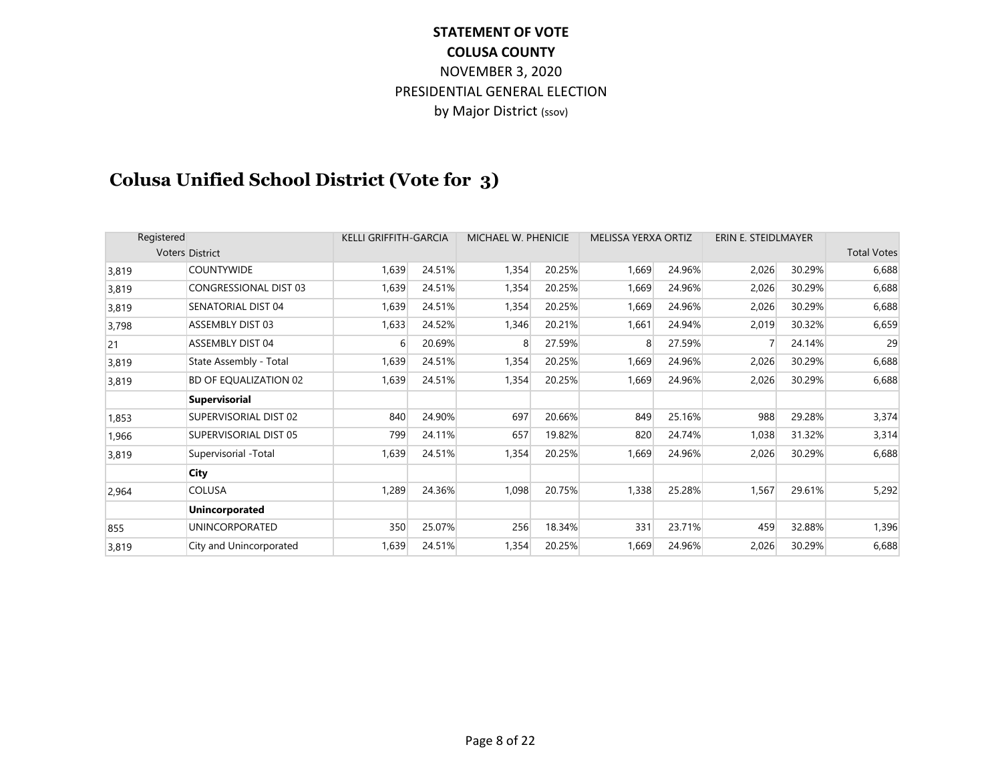# **Colusa Unified School District (Vote for 3)**

| Registered |                              | <b>KELLI GRIFFITH-GARCIA</b> |        | MICHAEL W. PHENICIE |        | <b>MELISSA YERXA ORTIZ</b> |        | ERIN E. STEIDLMAYER |        |                    |
|------------|------------------------------|------------------------------|--------|---------------------|--------|----------------------------|--------|---------------------|--------|--------------------|
|            | <b>Voters District</b>       |                              |        |                     |        |                            |        |                     |        | <b>Total Votes</b> |
| 3,819      | <b>COUNTYWIDE</b>            | 1,639                        | 24.51% | 1,354               | 20.25% | 1,669                      | 24.96% | 2,026               | 30.29% | 6,688              |
| 3,819      | <b>CONGRESSIONAL DIST 03</b> | 1,639                        | 24.51% | 1,354               | 20.25% | 1,669                      | 24.96% | 2,026               | 30.29% | 6,688              |
| 3,819      | SENATORIAL DIST 04           | 1,639                        | 24.51% | 1,354               | 20.25% | 1,669                      | 24.96% | 2,026               | 30.29% | 6,688              |
| 3,798      | <b>ASSEMBLY DIST 03</b>      | 1,633                        | 24.52% | 1,346               | 20.21% | 1,661                      | 24.94% | 2,019               | 30.32% | 6,659              |
| 21         | <b>ASSEMBLY DIST 04</b>      | 6                            | 20.69% | 8                   | 27.59% | 8                          | 27.59% | 7                   | 24.14% | 29                 |
| 3,819      | State Assembly - Total       | 1,639                        | 24.51% | 1,354               | 20.25% | 1,669                      | 24.96% | 2,026               | 30.29% | 6,688              |
| 3,819      | <b>BD OF EQUALIZATION 02</b> | 1,639                        | 24.51% | 1,354               | 20.25% | 1,669                      | 24.96% | 2,026               | 30.29% | 6,688              |
|            | <b>Supervisorial</b>         |                              |        |                     |        |                            |        |                     |        |                    |
| 1,853      | SUPERVISORIAL DIST 02        | 840                          | 24.90% | 697                 | 20.66% | 849                        | 25.16% | 988                 | 29.28% | 3,374              |
| 1,966      | SUPERVISORIAL DIST 05        | 799                          | 24.11% | 657                 | 19.82% | 820                        | 24.74% | 1,038               | 31.32% | 3,314              |
| 3,819      | Supervisorial -Total         | 1,639                        | 24.51% | 1,354               | 20.25% | 1,669                      | 24.96% | 2,026               | 30.29% | 6,688              |
|            | City                         |                              |        |                     |        |                            |        |                     |        |                    |
| 2,964      | <b>COLUSA</b>                | 1,289                        | 24.36% | 1,098               | 20.75% | 1,338                      | 25.28% | 1,567               | 29.61% | 5,292              |
|            | <b>Unincorporated</b>        |                              |        |                     |        |                            |        |                     |        |                    |
| 855        | <b>UNINCORPORATED</b>        | 350                          | 25.07% | 256                 | 18.34% | 331                        | 23.71% | 459                 | 32.88% | 1,396              |
| 3,819      | City and Unincorporated      | 1,639                        | 24.51% | 1,354               | 20.25% | 1,669                      | 24.96% | 2,026               | 30.29% | 6,688              |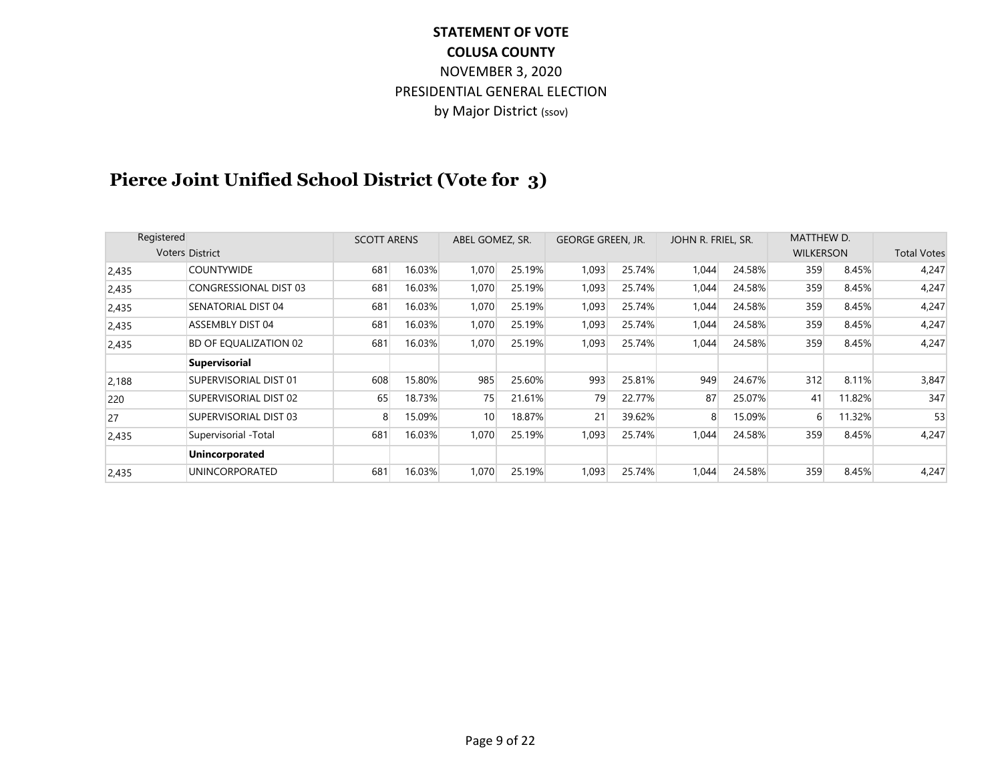# **Pierce Joint Unified School District (Vote for 3)**

| Registered |                              | <b>SCOTT ARENS</b> |        | ABEL GOMEZ, SR. |        | <b>GEORGE GREEN, JR.</b> |        | JOHN R. FRIEL, SR. |        | MATTHEW D.       |        |                    |
|------------|------------------------------|--------------------|--------|-----------------|--------|--------------------------|--------|--------------------|--------|------------------|--------|--------------------|
|            | <b>Voters District</b>       |                    |        |                 |        |                          |        |                    |        | <b>WILKERSON</b> |        | <b>Total Votes</b> |
| 2,435      | <b>COUNTYWIDE</b>            | 681                | 16.03% | 1,070           | 25.19% | 1,093                    | 25.74% | 1,044              | 24.58% | 359              | 8.45%  | 4,247              |
| 2,435      | <b>CONGRESSIONAL DIST 03</b> | 681                | 16.03% | 1,070           | 25.19% | 1,093                    | 25.74% | 1,044              | 24.58% | 359              | 8.45%  | 4,247              |
| 2,435      | SENATORIAL DIST 04           | 681                | 16.03% | 1,070           | 25.19% | 1,093                    | 25.74% | 1,044              | 24.58% | 359              | 8.45%  | 4,247              |
| 2,435      | <b>ASSEMBLY DIST 04</b>      | 681                | 16.03% | 1,070           | 25.19% | 1,093                    | 25.74% | 1,044              | 24.58% | 359              | 8.45%  | 4,247              |
| 2,435      | <b>BD OF EQUALIZATION 02</b> | 681                | 16.03% | 1,070           | 25.19% | 1,093                    | 25.74% | 1,044              | 24.58% | 359              | 8.45%  | 4,247              |
|            | <b>Supervisorial</b>         |                    |        |                 |        |                          |        |                    |        |                  |        |                    |
| 2,188      | SUPERVISORIAL DIST 01        | 608                | 15.80% | 985             | 25.60% | 993                      | 25.81% | 949                | 24.67% | 312              | 8.11%  | 3,847              |
| 220        | SUPERVISORIAL DIST 02        | 65                 | 18.73% | 75              | 21.61% | 79                       | 22.77% | 87                 | 25.07% | 41               | 11.82% | 347                |
| 27         | SUPERVISORIAL DIST 03        | 8                  | 15.09% | 10 <sup>°</sup> | 18.87% | 21                       | 39.62% | 8                  | 15.09% | 6                | 11.32% | 53                 |
| 2,435      | Supervisorial -Total         | 681                | 16.03% | 1,070           | 25.19% | 1,093                    | 25.74% | 1,044              | 24.58% | 359              | 8.45%  | 4,247              |
|            | <b>Unincorporated</b>        |                    |        |                 |        |                          |        |                    |        |                  |        |                    |
| 2,435      | <b>UNINCORPORATED</b>        | 681                | 16.03% | 1,070           | 25.19% | 1,093                    | 25.74% | 1,044              | 24.58% | 359              | 8.45%  | 4,247              |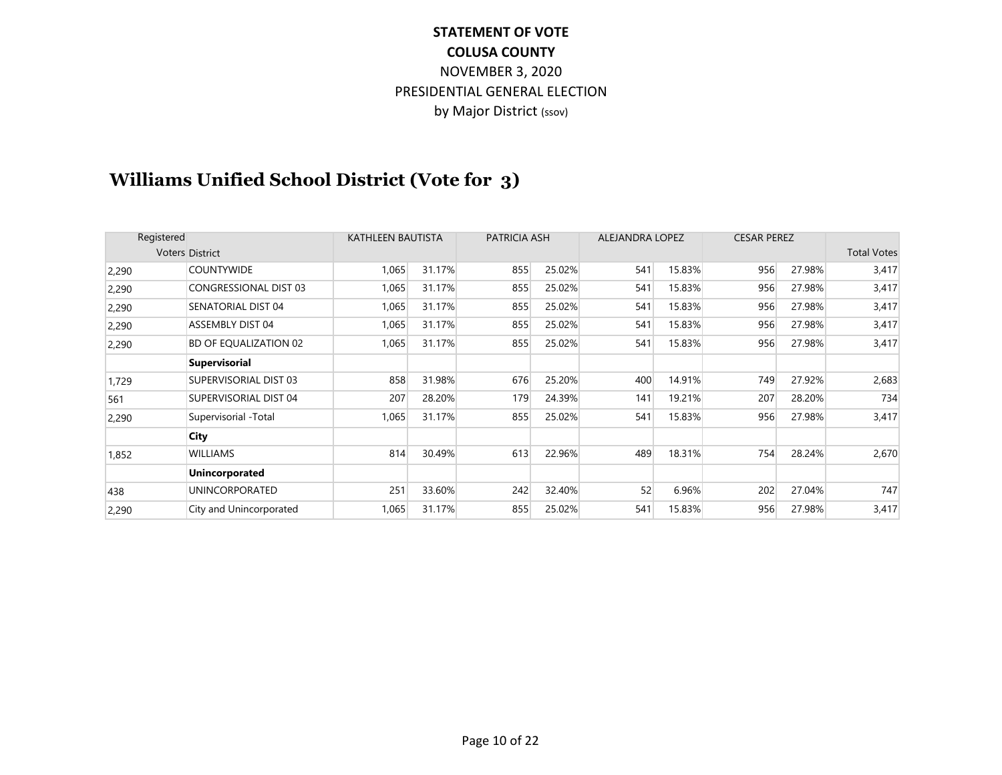# **Williams Unified School District (Vote for 3)**

| Registered |                              | KATHLEEN BAUTISTA |        | PATRICIA ASH |        |     | <b>ALEJANDRA LOPEZ</b> |     | <b>CESAR PEREZ</b> |                    |
|------------|------------------------------|-------------------|--------|--------------|--------|-----|------------------------|-----|--------------------|--------------------|
|            | <b>Voters District</b>       |                   |        |              |        |     |                        |     |                    | <b>Total Votes</b> |
| 2,290      | <b>COUNTYWIDE</b>            | 1,065             | 31.17% | 855          | 25.02% | 541 | 15.83%                 | 956 | 27.98%             | 3,417              |
| 2,290      | <b>CONGRESSIONAL DIST 03</b> | 1,065             | 31.17% | 855          | 25.02% | 541 | 15.83%                 | 956 | 27.98%             | 3,417              |
| 2,290      | SENATORIAL DIST 04           | 1,065             | 31.17% | 855          | 25.02% | 541 | 15.83%                 | 956 | 27.98%             | 3,417              |
| 2,290      | ASSEMBLY DIST 04             | 1,065             | 31.17% | 855          | 25.02% | 541 | 15.83%                 | 956 | 27.98%             | 3,417              |
| 2,290      | BD OF EQUALIZATION 02        | 1,065             | 31.17% | 855          | 25.02% | 541 | 15.83%                 | 956 | 27.98%             | 3,417              |
|            | <b>Supervisorial</b>         |                   |        |              |        |     |                        |     |                    |                    |
| 1,729      | SUPERVISORIAL DIST 03        | 858               | 31.98% | 676          | 25.20% | 400 | 14.91%                 | 749 | 27.92%             | 2,683              |
| 561        | SUPERVISORIAL DIST 04        | 207               | 28.20% | 179          | 24.39% | 141 | 19.21%                 | 207 | 28.20%             | 734                |
| 2,290      | Supervisorial -Total         | 1,065             | 31.17% | 855          | 25.02% | 541 | 15.83%                 | 956 | 27.98%             | 3,417              |
|            | City                         |                   |        |              |        |     |                        |     |                    |                    |
| 1,852      | WILLIAMS                     | 814               | 30.49% | 613          | 22.96% | 489 | 18.31%                 | 754 | 28.24%             | 2,670              |
|            | <b>Unincorporated</b>        |                   |        |              |        |     |                        |     |                    |                    |
| 438        | UNINCORPORATED               | 251               | 33.60% | 242          | 32.40% | 52  | 6.96%                  | 202 | 27.04%             | 747                |
| 2,290      | City and Unincorporated      | 1,065             | 31.17% | 855          | 25.02% | 541 | 15.83%                 | 956 | 27.98%             | 3,417              |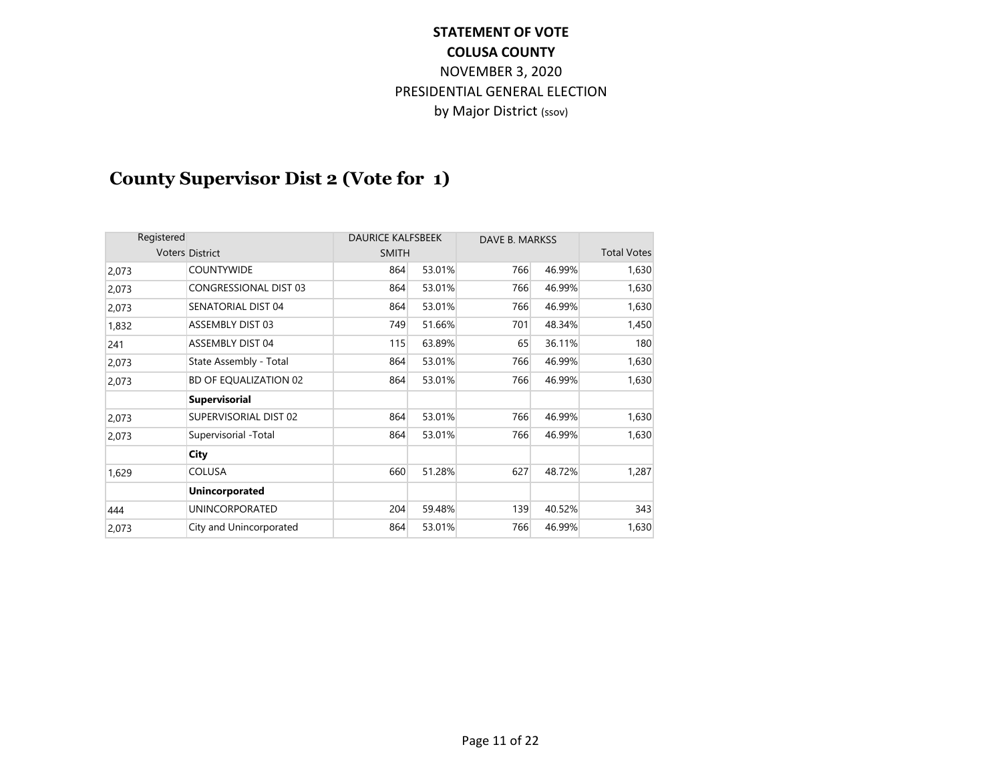# **County Supervisor Dist 2 (Vote for 1)**

| Registered |                              | <b>DAURICE KALFSBEEK</b> |        | DAVE B. MARKSS |        |                    |
|------------|------------------------------|--------------------------|--------|----------------|--------|--------------------|
|            | <b>Voters District</b>       | <b>SMITH</b>             |        |                |        | <b>Total Votes</b> |
| 2,073      | <b>COUNTYWIDE</b>            | 864                      | 53.01% | 766            | 46.99% | 1,630              |
| 2,073      | <b>CONGRESSIONAL DIST 03</b> | 864                      | 53.01% | 766            | 46.99% | 1,630              |
| 2,073      | <b>SENATORIAL DIST 04</b>    | 864                      | 53.01% | 766            | 46.99% | 1,630              |
| 1,832      | <b>ASSEMBLY DIST 03</b>      | 749                      | 51.66% | 701            | 48.34% | 1,450              |
| 241        | <b>ASSEMBLY DIST 04</b>      | 115                      | 63.89% | 65             | 36.11% | 180                |
| 2,073      | State Assembly - Total       | 864                      | 53.01% | 766            | 46.99% | 1,630              |
| 2,073      | BD OF EQUALIZATION 02        | 864                      | 53.01% | 766            | 46.99% | 1,630              |
|            | <b>Supervisorial</b>         |                          |        |                |        |                    |
| 2,073      | SUPERVISORIAL DIST 02        | 864                      | 53.01% | 766            | 46.99% | 1,630              |
| 2,073      | Supervisorial -Total         | 864                      | 53.01% | 766            | 46.99% | 1,630              |
|            | City                         |                          |        |                |        |                    |
| 1,629      | <b>COLUSA</b>                | 660                      | 51.28% | 627            | 48.72% | 1,287              |
|            | <b>Unincorporated</b>        |                          |        |                |        |                    |
| 444        | <b>UNINCORPORATED</b>        | 204                      | 59.48% | 139            | 40.52% | 343                |
| 2,073      | City and Unincorporated      | 864                      | 53.01% | 766            | 46.99% | 1,630              |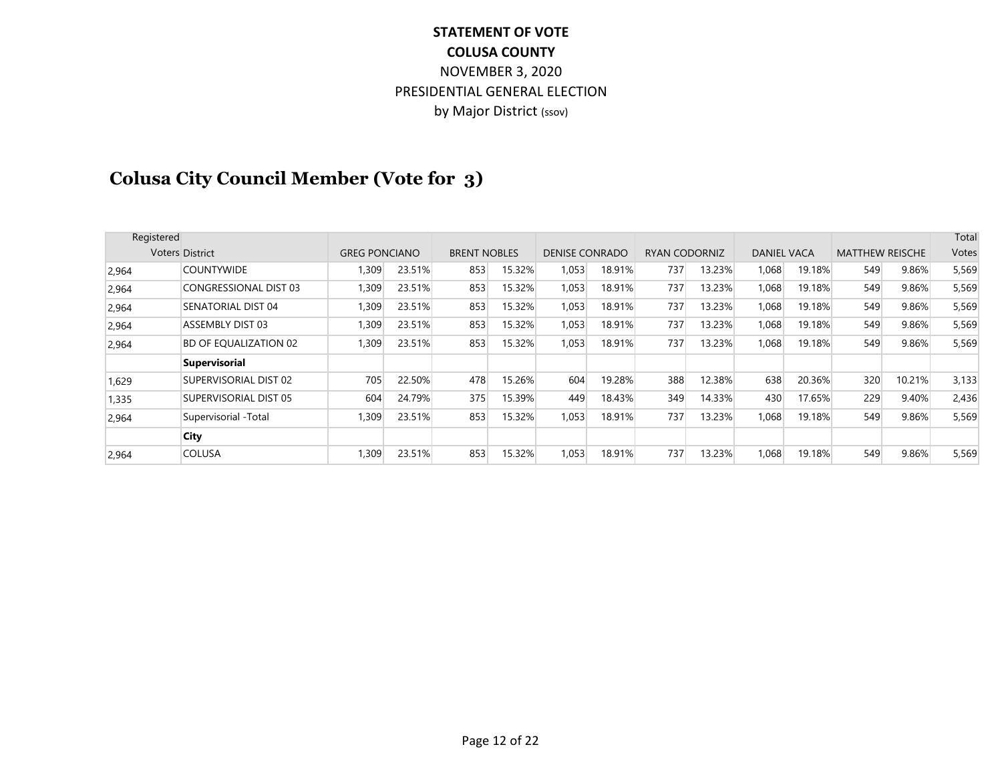# **Colusa City Council Member (Vote for 3)**

| Registered |                              |                      |        |                     |        |                       |        |                      |        |                    |        |                        |        | Total |
|------------|------------------------------|----------------------|--------|---------------------|--------|-----------------------|--------|----------------------|--------|--------------------|--------|------------------------|--------|-------|
|            | <b>Voters District</b>       | <b>GREG PONCIANO</b> |        | <b>BRENT NOBLES</b> |        | <b>DENISE CONRADO</b> |        | <b>RYAN CODORNIZ</b> |        | <b>DANIEL VACA</b> |        | <b>MATTHEW REISCHE</b> |        | Votes |
| 2,964      | <b>COUNTYWIDE</b>            | 1,309                | 23.51% | 853                 | 15.32% | 1,053                 | 18.91% | 737                  | 13.23% | 1,068              | 19.18% | 549                    | 9.86%  | 5,569 |
| 2,964      | <b>CONGRESSIONAL DIST 03</b> | 1,309                | 23.51% | 853                 | 15.32% | 1,053                 | 18.91% | 737                  | 13.23% | 1,068              | 19.18% | 549                    | 9.86%  | 5,569 |
| 2,964      | SENATORIAL DIST 04           | 1,309                | 23.51% | 853                 | 15.32% | 1,053                 | 18.91% | 737                  | 13.23% | 1.068              | 19.18% | 549                    | 9.86%  | 5,569 |
| 2,964      | ASSEMBLY DIST 03             | 1,309                | 23.51% | 853                 | 15.32% | 1,053                 | 18.91% | 737                  | 13.23% | 1.068              | 19.18% | 549                    | 9.86%  | 5,569 |
| 2,964      | BD OF EQUALIZATION 02        | 1,309                | 23.51% | 853                 | 15.32% | 1,053                 | 18.91% | 737                  | 13.23% | 1.068              | 19.18% | 549                    | 9.86%  | 5,569 |
|            | <b>Supervisorial</b>         |                      |        |                     |        |                       |        |                      |        |                    |        |                        |        |       |
| 1,629      | SUPERVISORIAL DIST 02        | 705                  | 22.50% | 478                 | 15.26% | 604                   | 19.28% | 388                  | 12.38% | 638                | 20.36% | 320                    | 10.21% | 3,133 |
| 1,335      | SUPERVISORIAL DIST 05        | 604                  | 24.79% | 375                 | 15.39% | 449                   | 18.43% | 349                  | 14.33% | 430                | 17.65% | 229                    | 9.40%  | 2,436 |
| 2,964      | Supervisorial -Total         | 1,309                | 23.51% | 853                 | 15.32% | 1,053                 | 18.91% | 737                  | 13.23% | 1.068              | 19.18% | 549                    | 9.86%  | 5,569 |
|            | City                         |                      |        |                     |        |                       |        |                      |        |                    |        |                        |        |       |
| 2,964      | <b>COLUSA</b>                | 1,309                | 23.51% | 853                 | 15.32% | 1,053                 | 18.91% | 737                  | 13.23% | 1,068              | 19.18% | 549                    | 9.86%  | 5,569 |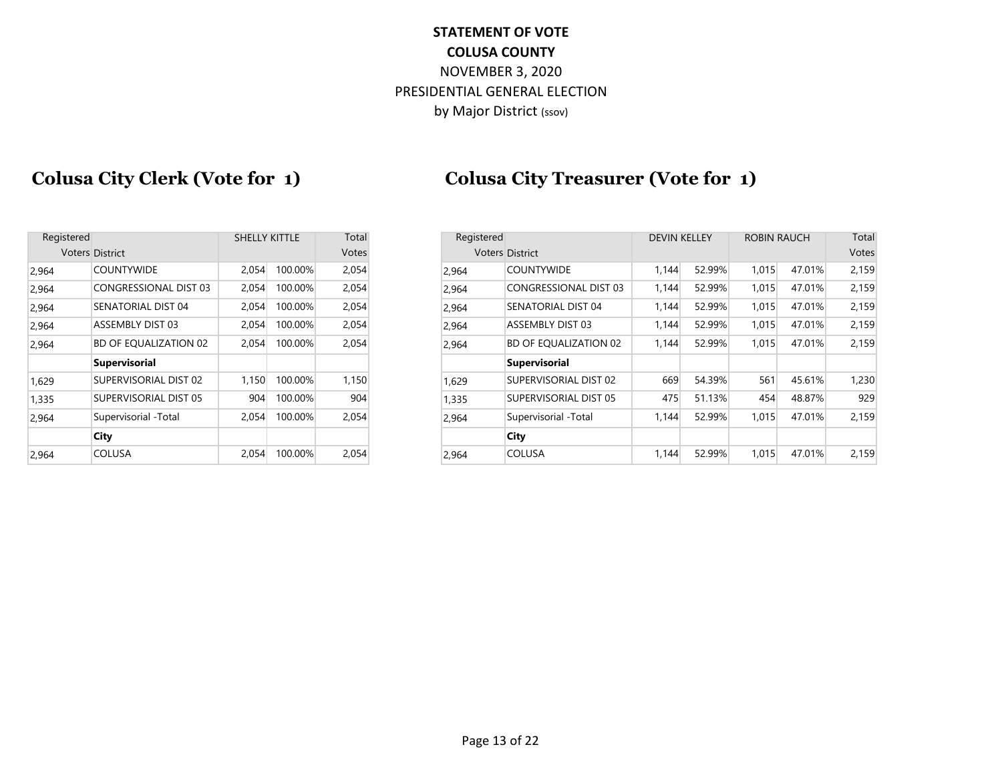## **Colusa City Clerk (Vote for 1) Colusa City Treasurer (Vote for 1)**

| Registered |                              | <b>SHELLY KITTLE</b> |         | Total |
|------------|------------------------------|----------------------|---------|-------|
|            | <b>Voters District</b>       |                      |         | Votes |
| 2,964      | <b>COUNTYWIDE</b>            | 2,054                | 100.00% | 2,054 |
| 2,964      | <b>CONGRESSIONAL DIST 03</b> | 2,054                | 100.00% | 2,054 |
| 2,964      | SENATORIAL DIST 04           | 2,054                | 100.00% | 2,054 |
| 2,964      | ASSEMBLY DIST 03             | 2,054                | 100.00% | 2,054 |
| 2,964      | <b>BD OF EQUALIZATION 02</b> | 2,054                | 100.00% | 2,054 |
|            | <b>Supervisorial</b>         |                      |         |       |
| 1,629      | SUPERVISORIAL DIST 02        | 1,150                | 100.00% | 1,150 |
| 1,335      | SUPERVISORIAL DIST 05        | 904                  | 100.00% | 904   |
| 2,964      | Supervisorial -Total         | 2,054                | 100.00% | 2,054 |
|            | City                         |                      |         |       |
| 2,964      | <b>COLUSA</b>                | 2,054                | 100.00% | 2,054 |

| Registered                   |       |         | Total                |       |                              |                                      |        |                     |        | Total              |
|------------------------------|-------|---------|----------------------|-------|------------------------------|--------------------------------------|--------|---------------------|--------|--------------------|
| <b>Voters District</b>       |       |         |                      |       |                              |                                      |        |                     |        | Votes              |
| <b>COUNTYWIDE</b>            | 2,054 | 100.00% | 2,054                | 2,964 | <b>COUNTYWIDE</b>            | 1,144                                | 52.99% | 1,015               | 47.01% | 2,159              |
| CONGRESSIONAL DIST 03        | 2,054 | 100.00% | 2,054                | 2.964 | <b>CONGRESSIONAL DIST 03</b> | 1,144                                | 52.99% | 1,015               | 47.01% | 2,159              |
| SENATORIAL DIST 04           | 2,054 | 100.00% | 2,054                | 2,964 | SENATORIAL DIST 04           | 1,144                                | 52.99% | 1,015               | 47.01% | 2,159              |
| <b>ASSEMBLY DIST 03</b>      | 2,054 | 100.00% | 2,054                | 2,964 | ASSEMBLY DIST 03             | 1,144                                | 52.99% | 1,015               | 47.01% | 2,159              |
| <b>BD OF EQUALIZATION 02</b> | 2,054 | 100.00% | 2,054                | 2,964 | BD OF EQUALIZATION 02        | 1,144                                | 52.99% | 1,015               | 47.01% | 2,159              |
| <b>Supervisorial</b>         |       |         |                      |       | <b>Supervisorial</b>         |                                      |        |                     |        |                    |
| SUPERVISORIAL DIST 02        | 1,150 | 100.00% | 1,150                | 1.629 | SUPERVISORIAL DIST 02        | 669                                  | 54.39% | 561                 | 45.61% | 1,230              |
| SUPERVISORIAL DIST 05        | 904   | 100.00% | 904                  | 1,335 | SUPERVISORIAL DIST 05        | 475                                  | 51.13% | 454                 | 48.87% | 929                |
| Supervisorial -Total         | 2,054 | 100.00% | 2,054                | 2,964 | Supervisorial -Total         | 1,144                                | 52.99% | 1,015               | 47.01% | 2,159              |
| City                         |       |         |                      |       | City                         |                                      |        |                     |        |                    |
| <b>COLUSA</b>                | 2,054 | 100.00% | 2,054                | 2,964 | <b>COLUSA</b>                | 1,144                                | 52.99% | 1,015               | 47.01% | 2,159              |
|                              |       |         | <b>SHELLY KITTLE</b> | Votes |                              | Registered<br><b>Voters District</b> |        | <b>DEVIN KELLEY</b> |        | <b>ROBIN RAUCH</b> |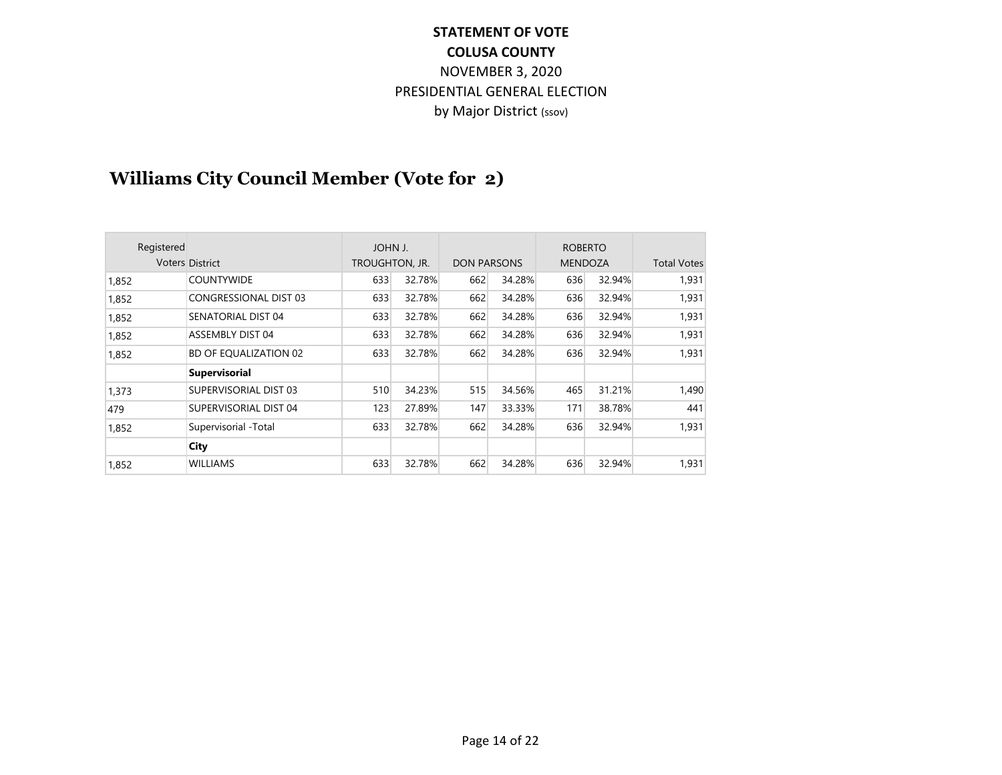# **Williams City Council Member (Vote for 2)**

| Registered |                              | JOHN J.        |        |                    |        | <b>ROBERTO</b> |        |                    |
|------------|------------------------------|----------------|--------|--------------------|--------|----------------|--------|--------------------|
|            | <b>Voters District</b>       | TROUGHTON, JR. |        | <b>DON PARSONS</b> |        | <b>MENDOZA</b> |        | <b>Total Votes</b> |
| 1,852      | <b>COUNTYWIDE</b>            | 633            | 32.78% | 662                | 34.28% | 636            | 32.94% | 1,931              |
| 1,852      | <b>CONGRESSIONAL DIST 03</b> | 633            | 32.78% | 662                | 34.28% | 636            | 32.94% | 1,931              |
| 1,852      | SENATORIAL DIST 04           | 633            | 32.78% | 662                | 34.28% | 636            | 32.94% | 1,931              |
| 1,852      | ASSEMBLY DIST 04             | 633            | 32.78% | 662                | 34.28% | 636            | 32.94% | 1,931              |
| 1,852      | BD OF EQUALIZATION 02        | 633            | 32.78% | 662                | 34.28% | 636            | 32.94% | 1,931              |
|            | <b>Supervisorial</b>         |                |        |                    |        |                |        |                    |
| 1,373      | SUPERVISORIAL DIST 03        | 510            | 34.23% | 515                | 34.56% | 465            | 31.21% | 1,490              |
| 479        | SUPERVISORIAL DIST 04        | 123            | 27.89% | 147                | 33.33% | 171            | 38.78% | 441                |
| 1,852      | Supervisorial -Total         | 633            | 32.78% | 662                | 34.28% | 636            | 32.94% | 1,931              |
|            | City                         |                |        |                    |        |                |        |                    |
| 1.852      | WILLIAMS                     | 633            | 32.78% | 662                | 34.28% | 636            | 32.94% | 1,931              |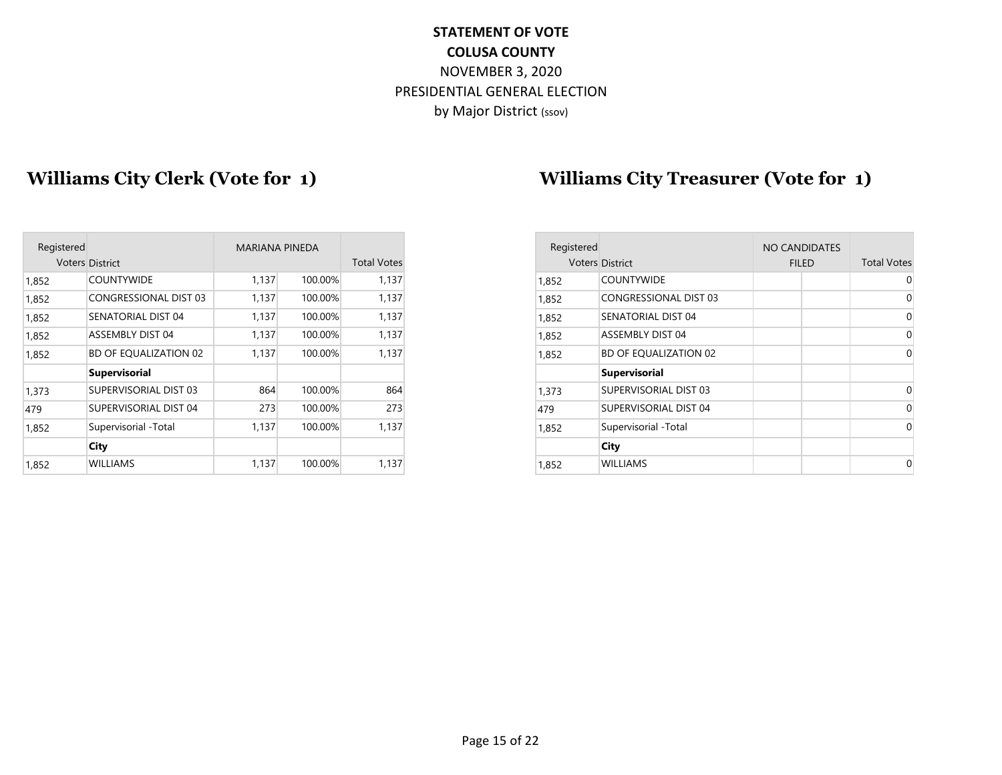## Williams City Clerk (Vote for 1) Williams City Treasurer (Vote for 1)

| Registered |                              | <b>MARIANA PINEDA</b> |         |                    |
|------------|------------------------------|-----------------------|---------|--------------------|
|            | <b>Voters District</b>       |                       |         | <b>Total Votes</b> |
| 1,852      | <b>COUNTYWIDE</b>            | 1,137                 | 100.00% | 1,137              |
| 1,852      | <b>CONGRESSIONAL DIST 03</b> | 1,137                 | 100.00% | 1,137              |
| 1,852      | SENATORIAL DIST 04           | 1,137                 | 100.00% | 1,137              |
| 1,852      | <b>ASSEMBLY DIST 04</b>      | 1,137                 | 100.00% | 1,137              |
| 1,852      | BD OF EQUALIZATION 02        | 1,137                 | 100.00% | 1,137              |
|            | <b>Supervisorial</b>         |                       |         |                    |
| 1,373      | SUPERVISORIAL DIST 03        | 864                   | 100.00% | 864                |
| 479        | SUPERVISORIAL DIST 04        | 273                   | 100.00% | 273                |
| 1,852      | Supervisorial -Total         | 1,137                 | 100.00% | 1,137              |
|            | City                         |                       |         |                    |
| 1,852      | <b>WILLIAMS</b>              | 1,137                 | 100.00% | 1,137              |
|            |                              |                       |         |                    |

| Registered |                              | MARIANA PINEDA |         |                    |
|------------|------------------------------|----------------|---------|--------------------|
|            | <b>Voters District</b>       |                |         | <b>Total Votes</b> |
| 1,852      | <b>COUNTYWIDE</b>            | 1,137          | 100.00% | 1,137              |
| 1,852      | CONGRESSIONAL DIST 03        | 1,137          | 100.00% | 1,137              |
| 1,852      | SENATORIAL DIST 04           | 1,137          | 100.00% | 1,137              |
| 1,852      | ASSEMBLY DIST 04             | 1,137          | 100.00% | 1,137              |
| 1,852      | <b>BD OF EQUALIZATION 02</b> | 1,137          | 100.00% | 1,137              |
|            | <b>Supervisorial</b>         |                |         |                    |
| 1,373      | <b>SUPERVISORIAL DIST 03</b> | 864            | 100.00% | 864                |
| 479        | SUPERVISORIAL DIST 04        | 273            | 100.00% | 273                |
| 1.852      | Supervisorial -Total         | 1,137          | 100.00% | 1,137              |
|            | <b>City</b>                  |                |         |                    |
| 1,852      | <b>WILLIAMS</b>              | 1,137          | 100.00% | 1,137              |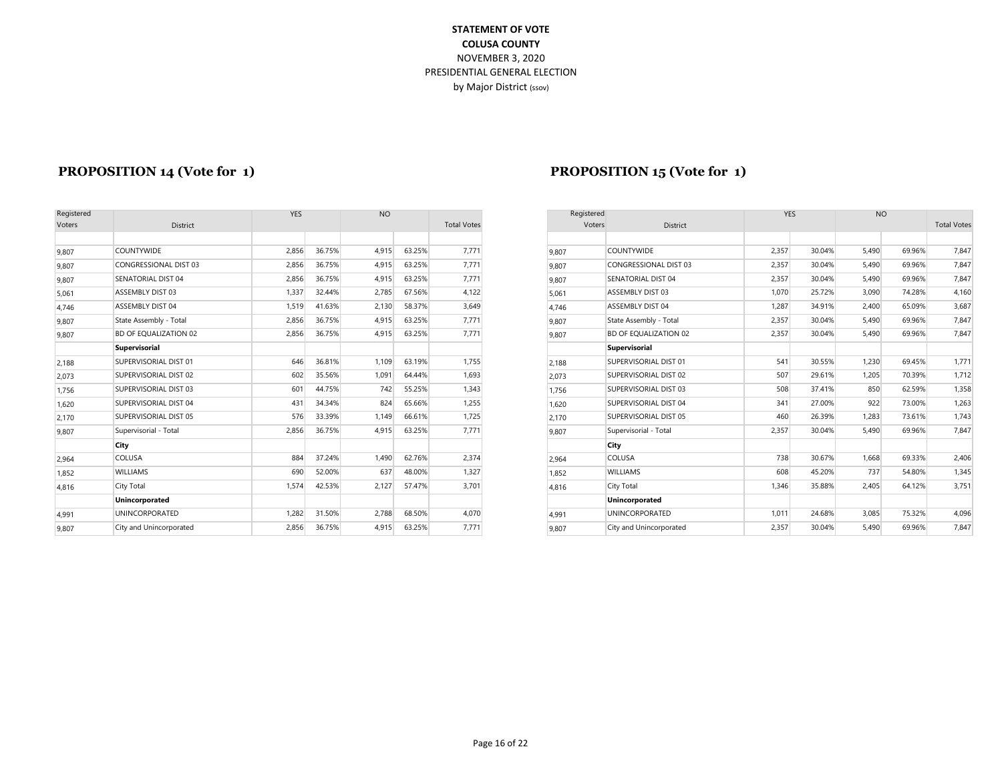| Registered |                         | <b>YES</b> |        | <b>NO</b> |        |                    | Registered |                       |
|------------|-------------------------|------------|--------|-----------|--------|--------------------|------------|-----------------------|
| Voters     | <b>District</b>         |            |        |           |        | <b>Total Votes</b> | Voters     |                       |
|            |                         |            |        |           |        |                    |            |                       |
| 9,807      | <b>COUNTYWIDE</b>       | 2,856      | 36.75% | 4,915     | 63.25% | 7,771              | 9,807      | <b>COUNTYWIDE</b>     |
| 9.807      | CONGRESSIONAL DIST 03   | 2,856      | 36.75% | 4,915     | 63.25% | 7,771              | 9.807      | CONGRESSIONA          |
| 9,807      | SENATORIAL DIST 04      | 2,856      | 36.75% | 4,915     | 63.25% | 7,771              | 9.807      | <b>SENATORIAL DIS</b> |
| 5,061      | <b>ASSEMBLY DIST 03</b> | 1,337      | 32.44% | 2,785     | 67.56% | 4,122              | 5.061      | ASSEMBLY DIST         |
| 4,746      | <b>ASSEMBLY DIST 04</b> | 1,519      | 41.63% | 2,130     | 58.37% | 3,649              | 4.746      | <b>ASSEMBLY DIST</b>  |
| 9,807      | State Assembly - Total  | 2,856      | 36.75% | 4,915     | 63.25% | 7,771              | 9.807      | State Assembly -      |
| 9,807      | BD OF EQUALIZATION 02   | 2,856      | 36.75% | 4,915     | 63.25% | 7,771              | 9.807      | <b>BD OF EQUALIZA</b> |
|            | Supervisorial           |            |        |           |        |                    |            | Supervisorial         |
| 2,188      | SUPERVISORIAL DIST 01   | 646        | 36.81% | 1,109     | 63.19% | 1,755              | 2.188      | SUPERVISORIAL         |
| 2,073      | SUPERVISORIAL DIST 02   | 602        | 35.56% | 1,091     | 64.44% | 1,693              | 2.073      | SUPERVISORIAL         |
| 1,756      | SUPERVISORIAL DIST 03   | 601        | 44.75% | 742       | 55.25% | 1,343              | 1.756      | SUPERVISORIAL         |
| 1,620      | SUPERVISORIAL DIST 04   | 431        | 34.34% | 824       | 65.66% | 1,255              | 1.620      | SUPERVISORIAL         |
| 2,170      | SUPERVISORIAL DIST 05   | 576        | 33.39% | 1,149     | 66.61% | 1,725              | 2.170      | SUPERVISORIAL         |
| 9,807      | Supervisorial - Total   | 2,856      | 36.75% | 4,915     | 63.25% | 7,771              | 9.807      | Supervisorial - To    |
|            | City                    |            |        |           |        |                    |            | City                  |
| 2,964      | COLUSA                  | 884        | 37.24% | 1,490     | 62.76% | 2,374              | 2,964      | COLUSA                |
| 1,852      | <b>WILLIAMS</b>         | 690        | 52.00% | 637       | 48.00% | 1,327              | 1.852      | <b>WILLIAMS</b>       |
| 4,816      | City Total              | 1,574      | 42.53% | 2,127     | 57.47% | 3,701              | 4,816      | City Total            |
|            | Unincorporated          |            |        |           |        |                    |            | Unincorporated        |
| 4,991      | <b>UNINCORPORATED</b>   | 1,282      | 31.50% | 2,788     | 68.50% | 4,070              | 4.991      | <b>UNINCORPORAT</b>   |
| 9,807      | City and Unincorporated | 2,856      | 36.75% | 4,915     | 63.25% | 7,771              | 9,807      | City and Unincor      |

#### **PROPOSITION 14 (Vote for 1) PROPOSITION 15 (Vote for 1)**

| Registered |                              | <b>YES</b> |        | <b>NO</b> |        |                    | Registered |                              | <b>YES</b> |        | <b>NO</b> |        |                    |
|------------|------------------------------|------------|--------|-----------|--------|--------------------|------------|------------------------------|------------|--------|-----------|--------|--------------------|
| Voters     | District                     |            |        |           |        | <b>Total Votes</b> | Voters     | District                     |            |        |           |        | <b>Total Votes</b> |
|            |                              |            |        |           |        |                    |            |                              |            |        |           |        |                    |
| 9,807      | <b>COUNTYWIDE</b>            | 2.856      | 36.75% | 4.915     | 63.25% | 7,771              | 9,807      | <b>COUNTYWIDE</b>            | 2,357      | 30.04% | 5.490     | 69.96% | 7,847              |
| 9,807      | CONGRESSIONAL DIST 03        | 2,856      | 36.75% | 4,915     | 63.25% | 7,771              | 9,807      | <b>CONGRESSIONAL DIST 03</b> | 2,357      | 30.04% | 5,490     | 69.96% | 7,847              |
| 9,807      | SENATORIAL DIST 04           | 2,856      | 36.75% | 4,915     | 63.25% | 7,771              | 9,807      | SENATORIAL DIST 04           | 2,357      | 30.04% | 5.490     | 69.96% | 7,847              |
| 5,061      | ASSEMBLY DIST 03             | 1,337      | 32.44% | 2,785     | 67.56% | 4,122              | 5.061      | ASSEMBLY DIST 03             | 1,070      | 25.72% | 3,090     | 74.28% | 4,160              |
| 4,746      | ASSEMBLY DIST 04             | 1,519      | 41.63% | 2,130     | 58.37% | 3,649              | 4.746      | ASSEMBLY DIST 04             | 1,287      | 34.91% | 2.400     | 65.09% | 3,687              |
| 9,807      | State Assembly - Total       | 2.856      | 36.75% | 4.915     | 63.25% | 7.771              | 9.807      | State Assembly - Total       | 2.357      | 30.04% | 5.490     | 69.96% | 7,847              |
| 9,807      | <b>BD OF EQUALIZATION 02</b> | 2,856      | 36.75% | 4,915     | 63.25% | 7,771              | 9,807      | BD OF EQUALIZATION 02        | 2,357      | 30.04% | 5,490     | 69.96% | 7,847              |
|            | <b>Supervisorial</b>         |            |        |           |        |                    |            | Supervisorial                |            |        |           |        |                    |
| 2,188      | SUPERVISORIAL DIST 01        | 646        | 36.81% | 1,109     | 63.19% | 1,755              | 2.188      | SUPERVISORIAL DIST 01        | 541        | 30.55% | 1,230     | 69.45% | 1,771              |
| 2,073      | SUPERVISORIAL DIST 02        | 602        | 35.56% | 1,091     | 64.44% | 1,693              | 2.073      | SUPERVISORIAL DIST 02        | 507        | 29.61% | 1,205     | 70.39% | 1,712              |
| 1,756      | SUPERVISORIAL DIST 03        | 601        | 44.75% | 742       | 55.25% | 1,343              | 1,756      | SUPERVISORIAL DIST 03        | 508        | 37.41% | 850       | 62.59% | 1,358              |
| 1,620      | SUPERVISORIAL DIST 04        | 431        | 34.34% | 824       | 65.66% | 1,255              | 1,620      | SUPERVISORIAL DIST 04        | 341        | 27.00% | 922       | 73.00% | 1,263              |
| 2,170      | SUPERVISORIAL DIST 05        | 576        | 33.39% | 1,149     | 66.61% | 1,725              | 2.170      | SUPERVISORIAL DIST 05        | 460        | 26.39% | 1,283     | 73.61% | 1,743              |
| 9,807      | Supervisorial - Total        | 2,856      | 36.75% | 4.915     | 63.25% | 7,771              | 9,807      | Supervisorial - Total        | 2,357      | 30.04% | 5,490     | 69.96% | 7,847              |
|            | City                         |            |        |           |        |                    |            | City                         |            |        |           |        |                    |
| 2,964      | <b>COLUSA</b>                | 884        | 37.24% | 1,490     | 62.76% | 2,374              | 2.964      | COLUSA                       | 738        | 30.67% | 1,668     | 69.33% | 2,406              |
| 1,852      | <b>WILLIAMS</b>              | 690        | 52.00% | 637       | 48.00% | 1,327              | 1,852      | <b>WILLIAMS</b>              | 608        | 45.20% | 737       | 54.80% | 1,345              |
| 4,816      | City Total                   | 1,574      | 42.53% | 2,127     | 57.47% | 3,701              | 4,816      | City Total                   | 1,346      | 35.88% | 2,405     | 64.12% | 3,751              |
|            | Unincorporated               |            |        |           |        |                    |            | Unincorporated               |            |        |           |        |                    |
| 4,991      | <b>UNINCORPORATED</b>        | 1,282      | 31.50% | 2,788     | 68.50% | 4,070              | 4,991      | <b>UNINCORPORATED</b>        | 1,011      | 24.68% | 3,085     | 75.32% | 4,096              |
| 9,807      | City and Unincorporated      | 2,856      | 36.75% | 4,915     | 63.25% | 7.771              | 9.807      | City and Unincorporated      | 2,357      | 30.04% | 5,490     | 69.96% | 7,847              |
|            |                              |            |        |           |        |                    |            |                              |            |        |           |        |                    |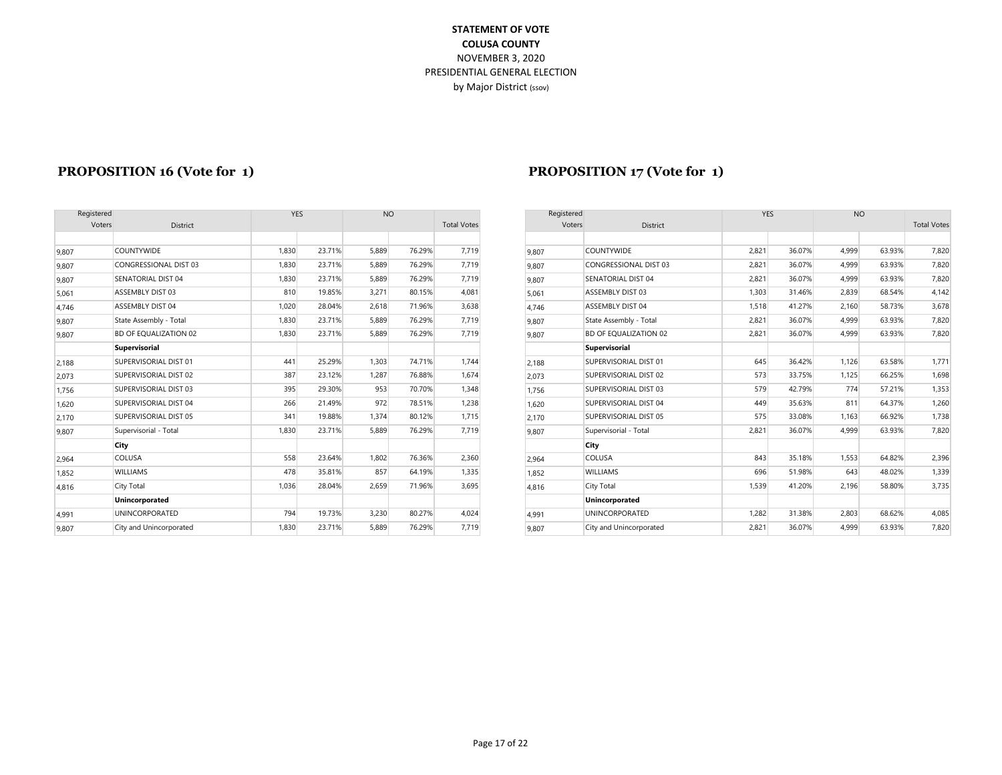| Registered |                         | <b>YES</b><br><b>NO</b> |        | Registered         |        |       |        | <b>YES</b>                   |       | <b>NO</b> |       |        |                    |
|------------|-------------------------|-------------------------|--------|--------------------|--------|-------|--------|------------------------------|-------|-----------|-------|--------|--------------------|
| Voters     | District                |                         |        | <b>Total Votes</b> |        |       | Voters | District                     |       |           |       |        | <b>Total Votes</b> |
|            |                         |                         |        |                    |        |       |        |                              |       |           |       |        |                    |
| 9,807      | <b>COUNTYWIDE</b>       | 1,830                   | 23.71% | 5,889              | 76.29% | 7,719 | 9,807  | <b>COUNTYWIDE</b>            | 2,821 | 36.07%    | 4,999 | 63.93% | 7,820              |
| 9,807      | CONGRESSIONAL DIST 03   | 1,830                   | 23.71% | 5,889              | 76.29% | 7,719 | 9.807  | CONGRESSIONAL DIST 03        | 2,821 | 36.07%    | 4,999 | 63.93% | 7,820              |
| 9,807      | SENATORIAL DIST 04      | 1,830                   | 23.71% | 5,889              | 76.29% | 7,719 | 9,807  | <b>SENATORIAL DIST 04</b>    | 2,821 | 36.07%    | 4,999 | 63.93% | 7,820              |
| 5,061      | ASSEMBLY DIST 03        | 810                     | 19.85% | 3,271              | 80.15% | 4,081 | 5,061  | ASSEMBLY DIST 03             | 1,303 | 31.46%    | 2,839 | 68.54% | 4,142              |
| 4,746      | ASSEMBLY DIST 04        | 1,020                   | 28.04% | 2.618              | 71.96% | 3,638 | 4,746  | <b>ASSEMBLY DIST 04</b>      | 1.518 | 41.27%    | 2,160 | 58.73% | 3,678              |
| 9,807      | State Assembly - Total  | 1,830                   | 23.71% | 5,889              | 76.29% | 7,719 | 9,807  | State Assembly - Total       | 2,821 | 36.07%    | 4,999 | 63.93% | 7,820              |
| 9,807      | BD OF EQUALIZATION 02   | 1,830                   | 23.71% | 5.889              | 76.29% | 7,719 | 9,807  | <b>BD OF EQUALIZATION 02</b> | 2,821 | 36.07%    | 4.999 | 63.93% | 7,820              |
|            | Supervisorial           |                         |        |                    |        |       |        | Supervisorial                |       |           |       |        |                    |
| 2,188      | SUPERVISORIAL DIST 01   | 441                     | 25.29% | 1,303              | 74.71% | 1,744 | 2,188  | SUPERVISORIAL DIST 01        | 645   | 36.42%    | 1,126 | 63.58% | 1,771              |
| 2,073      | SUPERVISORIAL DIST 02   | 387                     | 23.12% | 1.287              | 76.88% | 1,674 | 2,073  | SUPERVISORIAL DIST 02        | 573   | 33.75%    | 1,125 | 66.25% | 1,698              |
| 1,756      | SUPERVISORIAL DIST 03   | 395                     | 29.30% | 953                | 70.70% | 1,348 | 1,756  | SUPERVISORIAL DIST 03        | 579   | 42.79%    | 774   | 57.21% | 1,353              |
| 1,620      | SUPERVISORIAL DIST 04   | 266                     | 21.49% | 972                | 78.51% | 1,238 | 1.620  | SUPERVISORIAL DIST 04        | 449   | 35.63%    | 811   | 64.37% | 1,260              |
| 2,170      | SUPERVISORIAL DIST 05   | 341                     | 19.88% | 1,374              | 80.12% | 1,715 | 2,170  | SUPERVISORIAL DIST 05        | 575   | 33.08%    | 1,163 | 66.92% | 1,738              |
| 9,807      | Supervisorial - Total   | 1,830                   | 23.71% | 5,889              | 76.29% | 7,719 | 9,807  | Supervisorial - Total        | 2,821 | 36.07%    | 4,999 | 63.93% | 7,820              |
|            | City                    |                         |        |                    |        |       |        | City                         |       |           |       |        |                    |
| 2,964      | COLUSA                  | 558                     | 23.64% | 1,802              | 76.36% | 2,360 | 2,964  | <b>COLUSA</b>                | 843   | 35.18%    | 1,553 | 64.82% | 2,396              |
| 1,852      | <b>WILLIAMS</b>         | 478                     | 35.81% | 857                | 64.19% | 1,335 | 1,852  | <b>WILLIAMS</b>              | 696   | 51.98%    | 643   | 48.02% | 1,339              |
| 4,816      | City Total              | 1,036                   | 28.04% | 2.659              | 71.96% | 3,695 | 4,816  | City Total                   | 1,539 | 41.20%    | 2,196 | 58.80% | 3,735              |
|            | Unincorporated          |                         |        |                    |        |       |        | Unincorporated               |       |           |       |        |                    |
| 4,991      | <b>UNINCORPORATED</b>   | 794                     | 19.73% | 3,230              | 80.27% | 4,024 | 4,991  | <b>UNINCORPORATED</b>        | 1.282 | 31.38%    | 2,803 | 68.62% | 4,085              |
| 9,807      | City and Unincorporated | 1,830                   | 23.71% | 5.889              | 76.29% | 7.719 | 9,807  | City and Unincorporated      | 2,821 | 36.07%    | 4,999 | 63.93% | 7,820              |

#### **PROPOSITION 16 (Vote for 1) PROPOSITION 17 (Vote for 1)**

| Registered |                         | <b>YES</b> |        | <b>NO</b> |        |                    |
|------------|-------------------------|------------|--------|-----------|--------|--------------------|
| Voters     | <b>District</b>         |            |        |           |        | <b>Total Votes</b> |
|            |                         |            |        |           |        |                    |
| 9,807      | COUNTYWIDE              | 2,821      | 36.07% | 4,999     | 63.93% | 7,820              |
| 9,807      | CONGRESSIONAL DIST 03   | 2,821      | 36.07% | 4,999     | 63.93% | 7,820              |
| 9,807      | SENATORIAL DIST 04      | 2,821      | 36.07% | 4,999     | 63.93% | 7,820              |
| 5,061      | <b>ASSEMBLY DIST 03</b> | 1,303      | 31.46% | 2,839     | 68.54% | 4,142              |
| 4,746      | <b>ASSEMBLY DIST 04</b> | 1,518      | 41.27% | 2,160     | 58.73% | 3,678              |
| 9,807      | State Assembly - Total  | 2,821      | 36.07% | 4,999     | 63.93% | 7,820              |
| 9,807      | BD OF EQUALIZATION 02   | 2,821      | 36.07% | 4,999     | 63.93% | 7,820              |
|            | Supervisorial           |            |        |           |        |                    |
| 2,188      | SUPERVISORIAL DIST 01   | 645        | 36.42% | 1,126     | 63.58% | 1,771              |
| 2,073      | SUPERVISORIAL DIST 02   | 573        | 33.75% | 1,125     | 66.25% | 1,698              |
| 1,756      | SUPERVISORIAL DIST 03   | 579        | 42.79% | 774       | 57.21% | 1,353              |
| 1,620      | SUPERVISORIAL DIST 04   | 449        | 35.63% | 811       | 64.37% | 1,260              |
| 2,170      | SUPERVISORIAL DIST 05   | 575        | 33.08% | 1,163     | 66.92% | 1,738              |
| 9,807      | Supervisorial - Total   | 2,821      | 36.07% | 4,999     | 63.93% | 7,820              |
|            | City                    |            |        |           |        |                    |
| 2,964      | COLUSA                  | 843        | 35.18% | 1,553     | 64.82% | 2,396              |
| 1,852      | WILLIAMS                | 696        | 51.98% | 643       | 48.02% | 1,339              |
| 4,816      | City Total              | 1,539      | 41.20% | 2,196     | 58.80% | 3,735              |
|            | Unincorporated          |            |        |           |        |                    |
| 4,991      | <b>UNINCORPORATED</b>   | 1,282      | 31.38% | 2,803     | 68.62% | 4,085              |
| 9,807      | City and Unincorporated | 2,821      | 36.07% | 4,999     | 63.93% | 7,820              |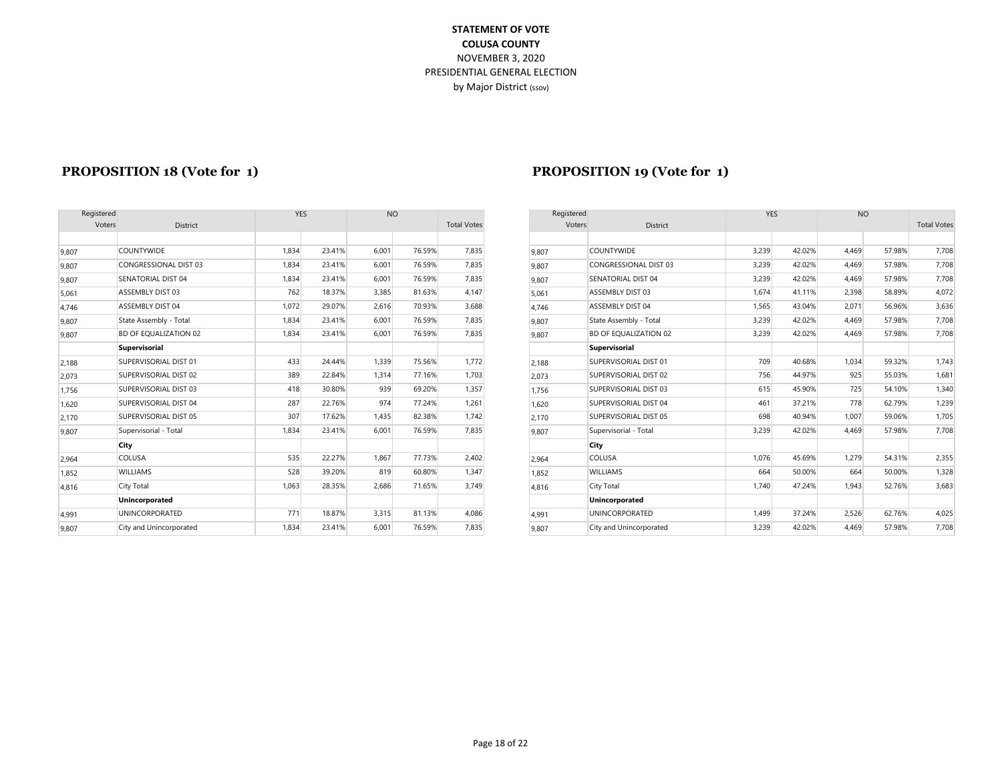|        | Registered              |       | <b>YES</b> | <b>NO</b> |        |                    | Registered |                       |
|--------|-------------------------|-------|------------|-----------|--------|--------------------|------------|-----------------------|
| Voters | <b>District</b>         |       |            |           |        | <b>Total Votes</b> |            | Voters                |
|        |                         |       |            |           |        |                    |            |                       |
| 9.807  | <b>COUNTYWIDE</b>       | 1,834 | 23.41%     | 6,001     | 76.59% | 7,835              | 9.807      | <b>COUNTYWIDE</b>     |
| 9.807  | CONGRESSIONAL DIST 03   | 1,834 | 23.41%     | 6,001     | 76.59% | 7,835              | 9.807      | CONGRESSIONA          |
| 9.807  | SENATORIAL DIST 04      | 1,834 | 23.41%     | 6,001     | 76.59% | 7,835              | 9,807      | <b>SENATORIAL DIS</b> |
| 5,061  | ASSEMBLY DIST 03        | 762   | 18.37%     | 3,385     | 81.63% | 4,147              | 5,061      | <b>ASSEMBLY DIST</b>  |
| 4,746  | ASSEMBLY DIST 04        | 1,072 | 29.07%     | 2,616     | 70.93% | 3,688              | 4.746      | <b>ASSEMBLY DIST</b>  |
| 9.807  | State Assembly - Total  | 1.834 | 23.41%     | 6,001     | 76.59% | 7,835              | 9.807      | State Assembly -      |
| 9,807  | BD OF EQUALIZATION 02   | 1,834 | 23.41%     | 6,001     | 76.59% | 7,835              | 9,807      | <b>BD OF EQUALIZA</b> |
|        | Supervisorial           |       |            |           |        |                    |            | Supervisorial         |
| 2,188  | SUPERVISORIAL DIST 01   | 433   | 24.44%     | 1,339     | 75.56% | 1,772              | 2,188      | SUPERVISORIAL         |
| 2,073  | SUPERVISORIAL DIST 02   | 389   | 22.84%     | 1,314     | 77.16% | 1,703              | 2,073      | SUPERVISORIAL         |
| 1,756  | SUPERVISORIAL DIST 03   | 418   | 30.80%     | 939       | 69.20% | 1,357              | 1,756      | SUPERVISORIAL         |
| 1,620  | SUPERVISORIAL DIST 04   | 287   | 22.76%     | 974       | 77.24% | 1,261              | 1.620      | SUPERVISORIAL         |
| 2,170  | SUPERVISORIAL DIST 05   | 307   | 17.62%     | 1,435     | 82.38% | 1,742              | 2,170      | SUPERVISORIAL         |
| 9,807  | Supervisorial - Total   | 1,834 | 23.41%     | 6,001     | 76.59% | 7,835              | 9,807      | Supervisorial - To    |
|        | City                    |       |            |           |        |                    |            | City                  |
| 2,964  | COLUSA                  | 535   | 22.27%     | 1,867     | 77.73% | 2,402              | 2,964      | COLUSA                |
| 1.852  | <b>WILLIAMS</b>         | 528   | 39.20%     | 819       | 60.80% | 1,347              | 1.852      | <b>WILLIAMS</b>       |
| 4,816  | City Total              | 1.063 | 28.35%     | 2,686     | 71.65% | 3,749              | 4,816      | City Total            |
|        | <b>Unincorporated</b>   |       |            |           |        |                    |            | Unincorporated        |
| 4,991  | <b>UNINCORPORATED</b>   | 771   | 18.87%     | 3,315     | 81.13% | 4,086              | 4,991      | <b>UNINCORPORAT</b>   |
| 9,807  | City and Unincorporated | 1,834 | 23.41%     | 6,001     | 76.59% | 7,835              | 9,807      | City and Unincor      |

#### **PROPOSITION 18 (Vote for 1) PROPOSITION 19 (Vote for 1)**

| Registered |                         | YES   |        | <b>NO</b> |        |                    |        | Registered                   |       | <b>YES</b> | <b>NO</b> |        |                    |  |
|------------|-------------------------|-------|--------|-----------|--------|--------------------|--------|------------------------------|-------|------------|-----------|--------|--------------------|--|
| Voters     | District                |       |        |           |        | <b>Total Votes</b> | Voters | District                     |       |            |           |        | <b>Total Votes</b> |  |
|            |                         |       |        |           |        |                    |        |                              |       |            |           |        |                    |  |
| 9,807      | <b>COUNTYWIDE</b>       | 1,834 | 23.41% | 6,001     | 76.59% | 7,835              | 9.807  | <b>COUNTYWIDE</b>            | 3,239 | 42.02%     | 4,469     | 57.98% | 7,708              |  |
| 9,807      | CONGRESSIONAL DIST 03   | 1,834 | 23.41% | 6,001     | 76.59% | 7,835              | 9,807  | CONGRESSIONAL DIST 03        | 3,239 | 42.02%     | 4,469     | 57.98% | 7,708              |  |
| 9,807      | SENATORIAL DIST 04      | 1,834 | 23.41% | 6,001     | 76.59% | 7,835              | 9,807  | <b>SENATORIAL DIST 04</b>    | 3,239 | 42.02%     | 4.469     | 57.98% | 7,708              |  |
| 5,061      | ASSEMBLY DIST 03        | 762   | 18.37% | 3,385     | 81.63% | 4,147              | 5,061  | ASSEMBLY DIST 03             | 1,674 | 41.11%     | 2,398     | 58.89% | 4,072              |  |
| 4,746      | <b>ASSEMBLY DIST 04</b> | 1,072 | 29.07% | 2,616     | 70.93% | 3,688              | 4,746  | <b>ASSEMBLY DIST 04</b>      | 1,565 | 43.04%     | 2,071     | 56.96% | 3,636              |  |
| 9,807      | State Assembly - Total  | 1,834 | 23.41% | 6.001     | 76.59% | 7,835              | 9,807  | State Assembly - Total       | 3,239 | 42.02%     | 4,469     | 57.98% | 7,708              |  |
| 9,807      | BD OF EQUALIZATION 02   | 1,834 | 23.41% | 6,001     | 76.59% | 7,835              | 9,807  | <b>BD OF EQUALIZATION 02</b> | 3,239 | 42.02%     | 4,469     | 57.98% | 7,708              |  |
|            | <b>Supervisorial</b>    |       |        |           |        |                    |        | Supervisorial                |       |            |           |        |                    |  |
| 2,188      | SUPERVISORIAL DIST 01   | 433   | 24.44% | 1,339     | 75.56% | 1,772              | 2,188  | SUPERVISORIAL DIST 01        | 709   | 40.68%     | 1,034     | 59.32% | 1,743              |  |
| 2,073      | SUPERVISORIAL DIST 02   | 389   | 22.84% | 1,314     | 77.16% | 1,703              | 2,073  | SUPERVISORIAL DIST 02        | 756   | 44.97%     | 925       | 55.03% | 1,681              |  |
| 1,756      | SUPERVISORIAL DIST 03   | 418   | 30.80% | 939       | 69.20% | 1,357              | 1,756  | SUPERVISORIAL DIST 03        | 615   | 45.90%     | 725       | 54.10% | 1,340              |  |
| 1,620      | SUPERVISORIAL DIST 04   | 287   | 22.76% | 974       | 77.24% | 1,261              | 1,620  | SUPERVISORIAL DIST 04        | 461   | 37.21%     | 778       | 62.79% | 1,239              |  |
| 2,170      | SUPERVISORIAL DIST 05   | 307   | 17.62% | 1.435     | 82.38% | 1,742              | 2,170  | SUPERVISORIAL DIST 05        | 698   | 40.94%     | 1,007     | 59.06% | 1,705              |  |
| 9,807      | Supervisorial - Total   | 1,834 | 23.41% | 6,001     | 76.59% | 7,835              | 9,807  | Supervisorial - Total        | 3,239 | 42.02%     | 4,469     | 57.98% | 7,708              |  |
|            | City                    |       |        |           |        |                    |        | City                         |       |            |           |        |                    |  |
| 2,964      | COLUSA                  | 535   | 22.27% | 1,867     | 77.73% | 2,402              | 2,964  | <b>COLUSA</b>                | 1,076 | 45.69%     | 1,279     | 54.31% | 2,355              |  |
| 1,852      | <b>WILLIAMS</b>         | 528   | 39.20% | 819       | 60.80% | 1,347              | 1,852  | <b>WILLIAMS</b>              | 664   | 50.00%     | 664       | 50.00% | 1,328              |  |
| 4,816      | City Total              | 1,063 | 28.35% | 2,686     | 71.65% | 3,749              | 4,816  | <b>City Total</b>            | 1.740 | 47.24%     | 1,943     | 52.76% | 3,683              |  |
|            | Unincorporated          |       |        |           |        |                    |        | Unincorporated               |       |            |           |        |                    |  |
| 4,991      | <b>UNINCORPORATED</b>   | 771   | 18.87% | 3,315     | 81.13% | 4,086              | 4,991  | <b>UNINCORPORATED</b>        | 1,499 | 37.24%     | 2,526     | 62.76% | 4,025              |  |
| 9,807      | City and Unincorporated | 1.834 | 23.41% | 6,001     | 76.59% | 7,835              | 9.807  | City and Unincorporated      | 3,239 | 42.02%     | 4,469     | 57.98% | 7,708              |  |
|            |                         |       |        |           |        |                    |        |                              |       |            |           |        |                    |  |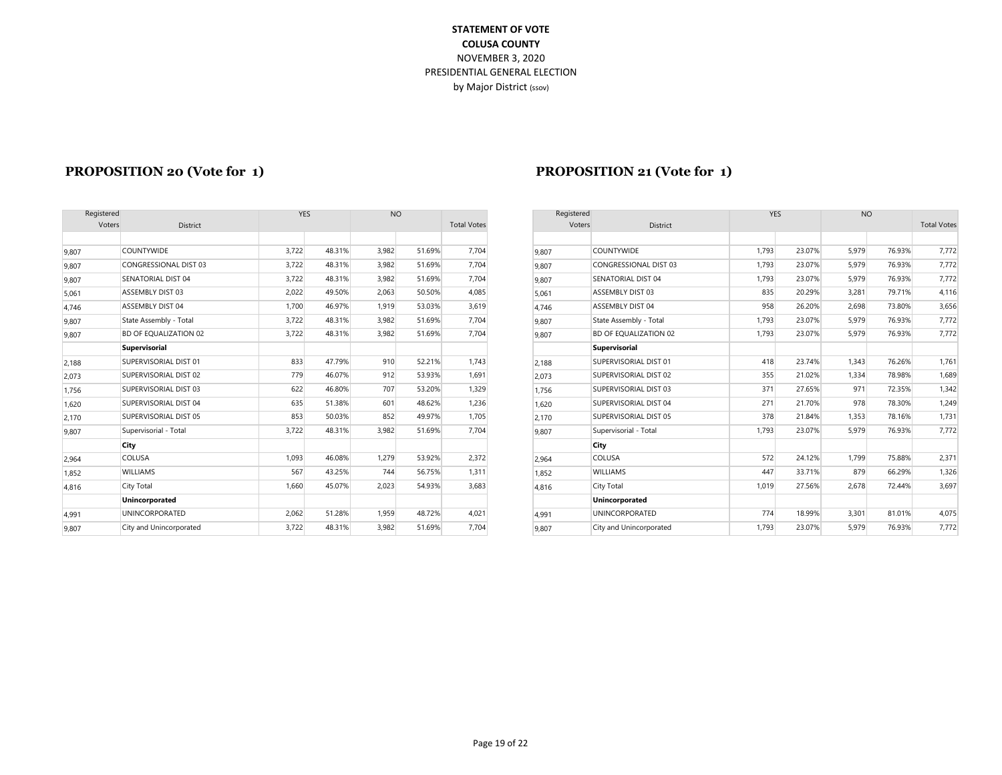|        | Registered                   |       | <b>YES</b> |       | <b>NO</b> |                    |       | Registered            |
|--------|------------------------------|-------|------------|-------|-----------|--------------------|-------|-----------------------|
| Voters | <b>District</b>              |       |            |       |           | <b>Total Votes</b> |       | Voters                |
|        |                              |       |            |       |           |                    |       |                       |
| 9,807  | <b>COUNTYWIDE</b>            | 3.722 | 48.31%     | 3,982 | 51.69%    | 7,704              | 9,807 | <b>COUNTYWIDE</b>     |
| 9.807  | CONGRESSIONAL DIST 03        | 3,722 | 48.31%     | 3,982 | 51.69%    | 7,704              | 9.807 | CONGRESSIONA          |
| 9,807  | SENATORIAL DIST 04           | 3,722 | 48.31%     | 3,982 | 51.69%    | 7,704              | 9.807 | <b>SENATORIAL DIS</b> |
| 5,061  | ASSEMBLY DIST 03             | 2,022 | 49.50%     | 2,063 | 50.50%    | 4,085              | 5,061 | ASSEMBLY DIST         |
| 4,746  | ASSEMBLY DIST 04             | 1,700 | 46.97%     | 1,919 | 53.03%    | 3,619              | 4,746 | <b>ASSEMBLY DIST</b>  |
| 9,807  | State Assembly - Total       | 3,722 | 48.31%     | 3,982 | 51.69%    | 7,704              | 9,807 | State Assembly -      |
| 9,807  | <b>BD OF EQUALIZATION 02</b> | 3,722 | 48.31%     | 3,982 | 51.69%    | 7,704              | 9,807 | <b>BD OF EQUALIZA</b> |
|        | Supervisorial                |       |            |       |           |                    |       | Supervisorial         |
| 2,188  | SUPERVISORIAL DIST 01        | 833   | 47.79%     | 910   | 52.21%    | 1,743              | 2.188 | SUPERVISORIAL         |
| 2,073  | SUPERVISORIAL DIST 02        | 779   | 46.07%     | 912   | 53.93%    | 1,691              | 2.073 | SUPERVISORIAL         |
| 1,756  | SUPERVISORIAL DIST 03        | 622   | 46.80%     | 707   | 53.20%    | 1,329              | 1,756 | SUPERVISORIAL         |
| 1.620  | SUPERVISORIAL DIST 04        | 635   | 51.38%     | 601   | 48.62%    | 1,236              | 1.620 | SUPERVISORIAL         |
| 2,170  | SUPERVISORIAL DIST 05        | 853   | 50.03%     | 852   | 49.97%    | 1,705              | 2,170 | SUPERVISORIAL         |
| 9,807  | Supervisorial - Total        | 3,722 | 48.31%     | 3,982 | 51.69%    | 7,704              | 9,807 | Supervisorial - To    |
|        | City                         |       |            |       |           |                    |       | City                  |
| 2,964  | COLUSA                       | 1,093 | 46.08%     | 1,279 | 53.92%    | 2,372              | 2,964 | COLUSA                |
| 1,852  | <b>WILLIAMS</b>              | 567   | 43.25%     | 744   | 56.75%    | 1,311              | 1.852 | <b>WILLIAMS</b>       |
| 4,816  | City Total                   | 1.660 | 45.07%     | 2,023 | 54.93%    | 3,683              | 4,816 | City Total            |
|        | <b>Unincorporated</b>        |       |            |       |           |                    |       | Unincorporated        |
| 4,991  | <b>UNINCORPORATED</b>        | 2.062 | 51.28%     | 1,959 | 48.72%    | 4.021              | 4.991 | <b>UNINCORPORAT</b>   |
| 9,807  | City and Unincorporated      | 3,722 | 48.31%     | 3,982 | 51.69%    | 7,704              | 9,807 | City and Unincor      |

#### **PROPOSITION 20 (Vote for 1) PROPOSITION 21 (Vote for 1)**

| Registered |                              | <b>YES</b> |        | <b>NO</b> |        |                    | Registered |                              | <b>YES</b> |        | <b>NO</b> |        |                    |
|------------|------------------------------|------------|--------|-----------|--------|--------------------|------------|------------------------------|------------|--------|-----------|--------|--------------------|
| Voters     | District                     |            |        |           |        | <b>Total Votes</b> | Voters     | <b>District</b>              |            |        |           |        | <b>Total Votes</b> |
|            |                              |            |        |           |        |                    |            |                              |            |        |           |        |                    |
| 9,807      | <b>COUNTYWIDE</b>            | 3,722      | 48.31% | 3,982     | 51.69% | 7,704              | 9.807      | <b>COUNTYWIDE</b>            | 1,793      | 23.07% | 5,979     | 76.93% | 7,772              |
| 9,807      | <b>CONGRESSIONAL DIST 03</b> | 3,722      | 48.31% | 3,982     | 51.69% | 7,704              | 9,807      | CONGRESSIONAL DIST 03        | 1,793      | 23.07% | 5,979     | 76.93% | 7,772              |
| 9,807      | <b>SENATORIAL DIST 04</b>    | 3,722      | 48.31% | 3,982     | 51.69% | 7,704              | 9,807      | <b>SENATORIAL DIST 04</b>    | 1,793      | 23.07% | 5,979     | 76.93% | 7,772              |
| 5,061      | <b>ASSEMBLY DIST 03</b>      | 2,022      | 49.50% | 2,063     | 50.50% | 4,085              | 5,061      | ASSEMBLY DIST 03             | 835        | 20.29% | 3,281     | 79.71% | 4,116              |
| 4,746      | <b>ASSEMBLY DIST 04</b>      | 1,700      | 46.97% | 1,919     | 53.03% | 3,619              | 4.746      | ASSEMBLY DIST 04             | 958        | 26.20% | 2,698     | 73.80% | 3,656              |
| 9,807      | State Assembly - Total       | 3,722      | 48.31% | 3,982     | 51.69% | 7,704              | 9,807      | State Assembly - Total       | 1,793      | 23.07% | 5,979     | 76.93% | 7,772              |
| 9,807      | <b>BD OF EQUALIZATION 02</b> | 3,722      | 48.31% | 3,982     | 51.69% | 7,704              | 9,807      | <b>BD OF EQUALIZATION 02</b> | 1,793      | 23.07% | 5,979     | 76.93% | 7,772              |
|            | Supervisorial                |            |        |           |        |                    |            | Supervisorial                |            |        |           |        |                    |
| 2,188      | SUPERVISORIAL DIST 01        | 833        | 47.79% | 910       | 52.21% | 1,743              | 2,188      | SUPERVISORIAL DIST 01        | 418        | 23.74% | 1,343     | 76.26% | 1,761              |
| 2,073      | SUPERVISORIAL DIST 02        | 779        | 46.07% | 912       | 53.93% | 1,691              | 2,073      | SUPERVISORIAL DIST 02        | 355        | 21.02% | 1,334     | 78.98% | 1,689              |
| 1,756      | SUPERVISORIAL DIST 03        | 622        | 46.80% | 707       | 53.20% | 1,329              | 1.756      | SUPERVISORIAL DIST 03        | 371        | 27.65% | 971       | 72.35% | 1,342              |
| 1,620      | SUPERVISORIAL DIST 04        | 635        | 51.38% | 601       | 48.62% | 1,236              | 1,620      | SUPERVISORIAL DIST 04        | 271        | 21.70% | 978       | 78.30% | 1,249              |
| 2,170      | SUPERVISORIAL DIST 05        | 853        | 50.03% | 852       | 49.97% | 1,705              | 2,170      | SUPERVISORIAL DIST 05        | 378        | 21.84% | 1,353     | 78.16% | 1,731              |
| 9,807      | Supervisorial - Total        | 3,722      | 48.31% | 3,982     | 51.69% | 7,704              | 9,807      | Supervisorial - Total        | 1,793      | 23.07% | 5,979     | 76.93% | 7,772              |
|            | City                         |            |        |           |        |                    |            | City                         |            |        |           |        |                    |
| 2,964      | <b>COLUSA</b>                | 1,093      | 46.08% | 1,279     | 53.92% | 2,372              | 2,964      | <b>COLUSA</b>                | 572        | 24.12% | 1,799     | 75.88% | 2,371              |
| 1,852      | <b>WILLIAMS</b>              | 567        | 43.25% | 744       | 56.75% | 1,311              | 1,852      | <b>WILLIAMS</b>              | 447        | 33.71% | 879       | 66.29% | 1,326              |
| 4,816      | City Total                   | 1,660      | 45.07% | 2,023     | 54.93% | 3,683              | 4,816      | City Total                   | 1,019      | 27.56% | 2,678     | 72.44% | 3,697              |
|            | Unincorporated               |            |        |           |        |                    |            | Unincorporated               |            |        |           |        |                    |
| 4,991      | <b>UNINCORPORATED</b>        | 2,062      | 51.28% | 1,959     | 48.72% | 4,021              | 4,991      | <b>UNINCORPORATED</b>        | 774        | 18.99% | 3,301     | 81.01% | 4,075              |
| 9,807      | City and Unincorporated      | 3.722      | 48.31% | 3.982     | 51.69% | 7,704              | 9.807      | City and Unincorporated      | 1,793      | 23.07% | 5,979     | 76.93% | 7,772              |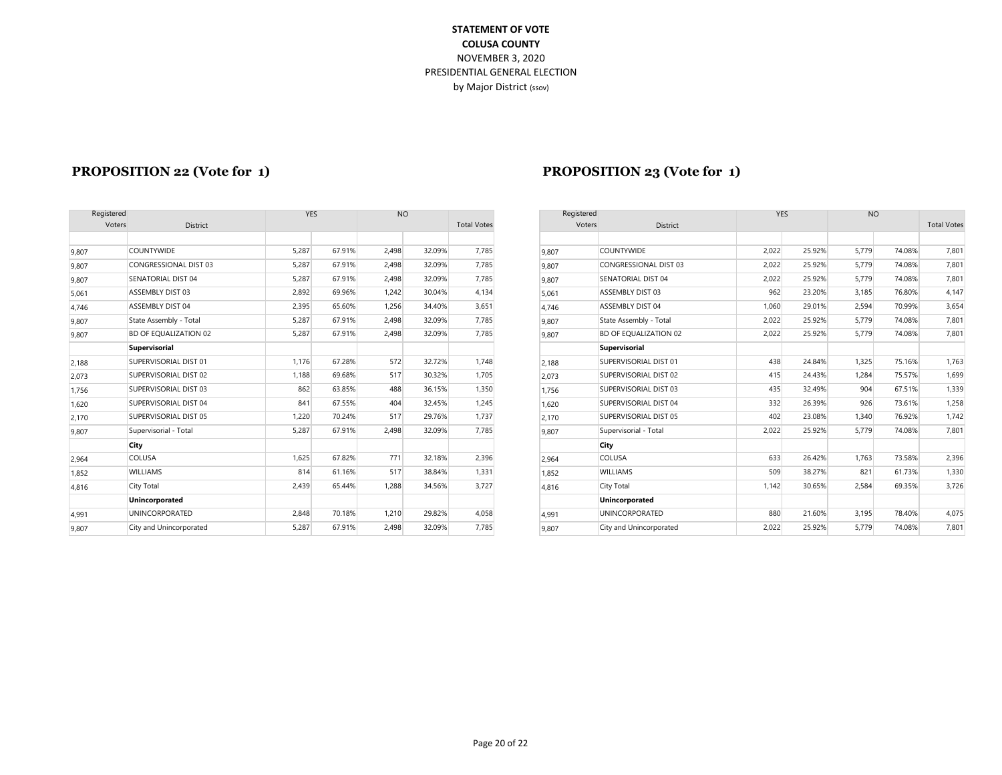| Registered |                         | <b>YES</b> |        | <b>NO</b> |        |                    |       | Registered            |
|------------|-------------------------|------------|--------|-----------|--------|--------------------|-------|-----------------------|
| Voters     | <b>District</b>         |            |        |           |        | <b>Total Votes</b> |       | Voters                |
|            |                         |            |        |           |        |                    |       |                       |
| 9.807      | <b>COUNTYWIDE</b>       | 5,287      | 67.91% | 2,498     | 32.09% | 7,785              | 9.807 | <b>COUNTYWIDE</b>     |
| 9.807      | CONGRESSIONAL DIST 03   | 5,287      | 67.91% | 2,498     | 32.09% | 7,785              | 9.807 | CONGRESSIONA          |
| 9,807      | SENATORIAL DIST 04      | 5.287      | 67.91% | 2,498     | 32.09% | 7,785              | 9,807 | <b>SENATORIAL DIS</b> |
| 5,061      | ASSEMBLY DIST 03        | 2,892      | 69.96% | 1,242     | 30.04% | 4,134              | 5,061 | <b>ASSEMBLY DIST</b>  |
| 4,746      | ASSEMBLY DIST 04        | 2,395      | 65.60% | 1,256     | 34.40% | 3,651              | 4,746 | <b>ASSEMBLY DIST</b>  |
| 9,807      | State Assembly - Total  | 5,287      | 67.91% | 2,498     | 32.09% | 7,785              | 9.807 | State Assembly -      |
| 9,807      | BD OF EQUALIZATION 02   | 5.287      | 67.91% | 2,498     | 32.09% | 7,785              | 9,807 | <b>BD OF EQUALIZA</b> |
|            | Supervisorial           |            |        |           |        |                    |       | Supervisorial         |
| 2,188      | SUPERVISORIAL DIST 01   | 1,176      | 67.28% | 572       | 32.72% | 1,748              | 2,188 | SUPERVISORIAL         |
| 2,073      | SUPERVISORIAL DIST 02   | 1,188      | 69.68% | 517       | 30.32% | 1,705              | 2,073 | SUPERVISORIAL         |
| 1,756      | SUPERVISORIAL DIST 03   | 862        | 63.85% | 488       | 36.15% | 1,350              | 1,756 | SUPERVISORIAL         |
| 1,620      | SUPERVISORIAL DIST 04   | 841        | 67.55% | 404       | 32.45% | 1,245              | 1.620 | SUPERVISORIAL         |
| 2,170      | SUPERVISORIAL DIST 05   | 1,220      | 70.24% | 517       | 29.76% | 1,737              | 2,170 | SUPERVISORIAL         |
| 9,807      | Supervisorial - Total   | 5,287      | 67.91% | 2,498     | 32.09% | 7,785              | 9,807 | Supervisorial - To    |
|            | City                    |            |        |           |        |                    |       | City                  |
| 2,964      | COLUSA                  | 1,625      | 67.82% | 771       | 32.18% | 2,396              | 2.964 | COLUSA                |
| 1,852      | <b>WILLIAMS</b>         | 814        | 61.16% | 517       | 38.84% | 1,331              | 1.852 | <b>WILLIAMS</b>       |
| 4,816      | City Total              | 2.439      | 65.44% | 1.288     | 34.56% | 3,727              | 4,816 | City Total            |
|            | Unincorporated          |            |        |           |        |                    |       | Unincorporated        |
| 4,991      | <b>UNINCORPORATED</b>   | 2.848      | 70.18% | 1,210     | 29.82% | 4,058              | 4,991 | <b>UNINCORPORAT</b>   |
| 9,807      | City and Unincorporated | 5,287      | 67.91% | 2,498     | 32.09% | 7,785              | 9,807 | City and Unincor      |

#### **PROPOSITION 22 (Vote for 1) PROPOSITION 23 (Vote for 1)**

|                         |                      |        |       |        |                    | Registered |                              |                                 |        |            |        |                    |
|-------------------------|----------------------|--------|-------|--------|--------------------|------------|------------------------------|---------------------------------|--------|------------|--------|--------------------|
| District                |                      |        |       |        | <b>Total Votes</b> |            | District                     |                                 |        |            |        | <b>Total Votes</b> |
|                         |                      |        |       |        |                    |            |                              |                                 |        |            |        |                    |
| <b>COUNTYWIDE</b>       | 5,287                | 67.91% | 2,498 | 32.09% | 7,785              | 9.807      | <b>COUNTYWIDE</b>            | 2,022                           | 25.92% | 5,779      | 74.08% | 7,801              |
| CONGRESSIONAL DIST 03   | 5,287                | 67.91% | 2,498 | 32.09% | 7,785              | 9,807      | CONGRESSIONAL DIST 03        | 2,022                           | 25.92% | 5,779      | 74.08% | 7,801              |
| SENATORIAL DIST 04      | 5,287                | 67.91% | 2.498 | 32.09% | 7,785              | 9,807      | <b>SENATORIAL DIST 04</b>    | 2,022                           | 25.92% | 5,779      | 74.08% | 7,801              |
| ASSEMBLY DIST 03        | 2,892                | 69.96% | 1,242 | 30.04% | 4,134              | 5,061      | ASSEMBLY DIST 03             | 962                             | 23.20% | 3,185      | 76.80% | 4,147              |
| ASSEMBLY DIST 04        | 2,395                | 65.60% | 1,256 | 34.40% | 3,651              | 4.746      | ASSEMBLY DIST 04             | 1,060                           | 29.01% | 2,594      | 70.99% | 3,654              |
| State Assembly - Total  | 5,287                | 67.91% | 2.498 | 32.09% | 7,785              | 9,807      | State Assembly - Total       | 2,022                           | 25.92% | 5,779      | 74.08% | 7,801              |
| BD OF EQUALIZATION 02   | 5,287                | 67.91% | 2,498 | 32.09% | 7,785              | 9.807      | <b>BD OF EQUALIZATION 02</b> | 2,022                           | 25.92% | 5,779      | 74.08% | 7,801              |
| Supervisorial           |                      |        |       |        |                    |            |                              |                                 |        |            |        |                    |
| SUPERVISORIAL DIST 01   | 1.176                | 67.28% | 572   | 32.72% | 1,748              | 2,188      | SUPERVISORIAL DIST 01        | 438                             | 24.84% | 1,325      | 75.16% | 1,763              |
| SUPERVISORIAL DIST 02   | 1,188                | 69.68% | 517   | 30.32% | 1,705              | 2,073      | SUPERVISORIAL DIST 02        | 415                             | 24.43% | 1,284      | 75.57% | 1,699              |
| SUPERVISORIAL DIST 03   | 862                  | 63.85% | 488   | 36.15% | 1,350              | 1.756      | SUPERVISORIAL DIST 03        | 435                             | 32.49% | 904        | 67.51% | 1,339              |
| SUPERVISORIAL DIST 04   | 841                  | 67.55% | 404   | 32.45% | 1,245              | 1,620      | SUPERVISORIAL DIST 04        | 332                             | 26.39% | 926        | 73.61% | 1,258              |
| SUPERVISORIAL DIST 05   | 1,220                | 70.24% | 517   | 29.76% | 1,737              | 2,170      | SUPERVISORIAL DIST 05        | 402                             | 23.08% | 1.340      | 76.92% | 1,742              |
| Supervisorial - Total   | 5,287                | 67.91% | 2,498 | 32.09% | 7,785              | 9,807      | Supervisorial - Total        | 2,022                           | 25.92% | 5,779      | 74.08% | 7,801              |
| City                    |                      |        |       |        |                    |            |                              |                                 |        |            |        |                    |
| COLUSA                  | 1,625                | 67.82% | 771   | 32.18% | 2,396              | 2,964      | <b>COLUSA</b>                | 633                             | 26.42% | 1.763      | 73.58% | 2,396              |
| <b>WILLIAMS</b>         | 814                  | 61.16% | 517   | 38.84% | 1,331              | 1,852      | <b>WILLIAMS</b>              | 509                             | 38.27% | 821        | 61.73% | 1,330              |
| City Total              | 2,439                | 65.44% | 1,288 | 34.56% | 3,727              | 4,816      | City Total                   | 1,142                           | 30.65% | 2,584      | 69.35% | 3,726              |
| Unincorporated          |                      |        |       |        |                    |            | Unincorporated               |                                 |        |            |        |                    |
| <b>UNINCORPORATED</b>   | 2,848                | 70.18% | 1,210 | 29.82% | 4,058              | 4,991      | <b>UNINCORPORATED</b>        | 880                             | 21.60% | 3,195      | 78.40% | 4,075              |
| City and Unincorporated | 5,287                | 67.91% | 2.498 | 32.09% | 7,785              | 9.807      | City and Unincorporated      | 2,022                           | 25.92% | 5,779      | 74.08% | 7,801              |
|                         | Registered<br>Voters |        | YES   |        | <b>NO</b>          |            |                              | Voters<br>Supervisorial<br>City |        | <b>YES</b> |        | <b>NO</b>          |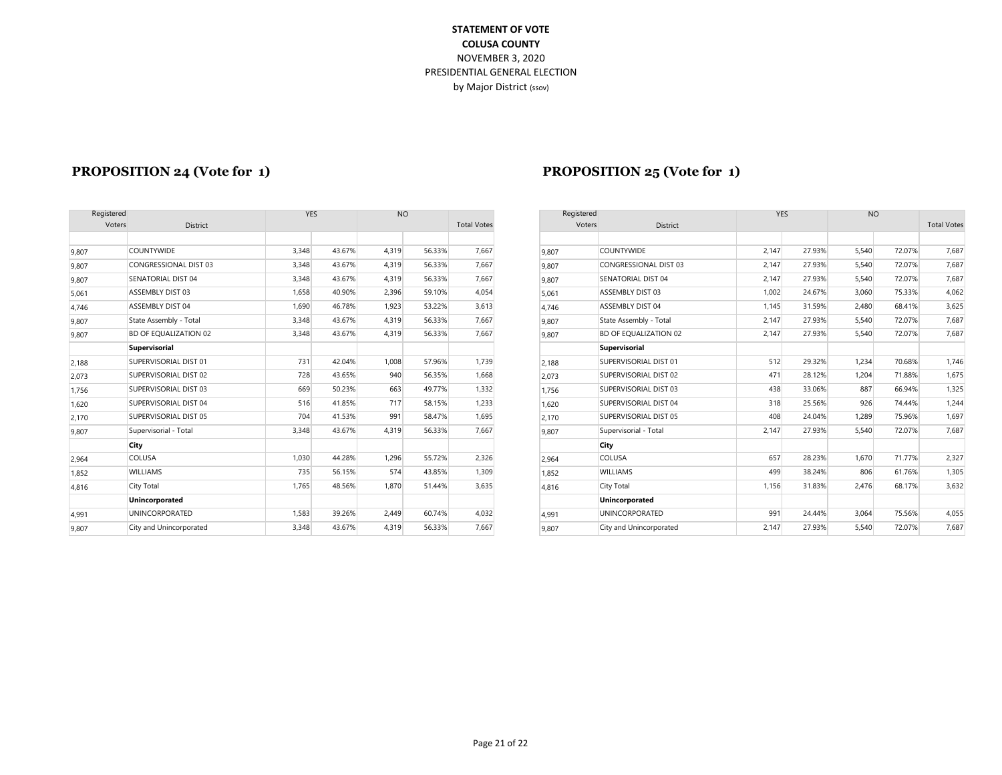| Registered |                              |       | <b>YES</b> | <b>NO</b> |        |                    | Registered |                         |
|------------|------------------------------|-------|------------|-----------|--------|--------------------|------------|-------------------------|
| Voters     | <b>District</b>              |       |            |           |        | <b>Total Votes</b> | Voters     | District                |
|            |                              |       |            |           |        |                    |            |                         |
| 9,807      | <b>COUNTYWIDE</b>            | 3,348 | 43.67%     | 4.319     | 56.33% | 7,667              | 9.807      | <b>COUNTYWIDE</b>       |
| 9,807      | <b>CONGRESSIONAL DIST 03</b> | 3,348 | 43.67%     | 4,319     | 56.33% | 7,667              | 9.807      | CONGRESSIONAL DIST 0    |
| 9,807      | SENATORIAL DIST 04           | 3,348 | 43.67%     | 4,319     | 56.33% | 7,667              | 9,807      | SENATORIAL DIST 04      |
| 5,061      | ASSEMBLY DIST 03             | 1.658 | 40.90%     | 2.396     | 59.10% | 4,054              | 5,061      | ASSEMBLY DIST 03        |
| 4,746      | ASSEMBLY DIST 04             | 1.690 | 46.78%     | 1.923     | 53.22% | 3,613              | 4,746      | ASSEMBLY DIST 04        |
| 9,807      | State Assembly - Total       | 3,348 | 43.67%     | 4,319     | 56.33% | 7,667              | 9,807      | State Assembly - Total  |
| 9,807      | BD OF EQUALIZATION 02        | 3,348 | 43.67%     | 4,319     | 56.33% | 7,667              | 9.807      | BD OF EQUALIZATION 02   |
|            | <b>Supervisorial</b>         |       |            |           |        |                    |            | <b>Supervisorial</b>    |
| 2,188      | SUPERVISORIAL DIST 01        | 731   | 42.04%     | 1,008     | 57.96% | 1,739              | 2.188      | SUPERVISORIAL DIST 01   |
| 2,073      | SUPERVISORIAL DIST 02        | 728   | 43.65%     | 940       | 56.35% | 1,668              | 2,073      | SUPERVISORIAL DIST 02   |
| 1,756      | SUPERVISORIAL DIST 03        | 669   | 50.23%     | 663       | 49.77% | 1,332              | 1.756      | SUPERVISORIAL DIST 03   |
| 1,620      | SUPERVISORIAL DIST 04        | 516   | 41.85%     | 717       | 58.15% | 1,233              | 1.620      | SUPERVISORIAL DIST 04   |
| 2,170      | SUPERVISORIAL DIST 05        | 704   | 41.53%     | 991       | 58.47% | 1,695              | 2,170      | SUPERVISORIAL DIST 05   |
| 9,807      | Supervisorial - Total        | 3,348 | 43.67%     | 4,319     | 56.33% | 7,667              | 9,807      | Supervisorial - Total   |
|            | City                         |       |            |           |        |                    |            | City                    |
| 2,964      | COLUSA                       | 1.030 | 44.28%     | 1,296     | 55.72% | 2,326              | 2,964      | COLUSA                  |
| 1,852      | <b>WILLIAMS</b>              | 735   | 56.15%     | 574       | 43.85% | 1,309              | 1.852      | <b>WILLIAMS</b>         |
| 4,816      | City Total                   | 1,765 | 48.56%     | 1,870     | 51.44% | 3,635              | 4,816      | City Total              |
|            | Unincorporated               |       |            |           |        |                    |            | Unincorporated          |
| 4,991      | <b>UNINCORPORATED</b>        | 1,583 | 39.26%     | 2.449     | 60.74% | 4,032              | 4.991      | <b>UNINCORPORATED</b>   |
| 9,807      | City and Unincorporated      | 3,348 | 43.67%     | 4,319     | 56.33% | 7,667              | 9,807      | City and Unincorporated |

#### **PROPOSITION 24 (Vote for 1) PROPOSITION 25 (Vote for 1)**

|                         |                      |        | <b>NO</b> |        |                    |       |                              |                      |        |            |        |                    |
|-------------------------|----------------------|--------|-----------|--------|--------------------|-------|------------------------------|----------------------|--------|------------|--------|--------------------|
| District                |                      |        |           |        | <b>Total Votes</b> |       | District                     |                      |        |            |        | <b>Total Votes</b> |
|                         |                      |        |           |        |                    |       |                              |                      |        |            |        |                    |
| <b>COUNTYWIDE</b>       | 3.348                | 43.67% | 4.319     | 56.33% | 7,667              | 9.807 | <b>COUNTYWIDE</b>            | 2.147                | 27.93% | 5.540      | 72.07% | 7,687              |
| CONGRESSIONAL DIST 03   | 3,348                | 43.67% | 4,319     | 56.33% | 7,667              | 9.807 | CONGRESSIONAL DIST 03        | 2,147                | 27.93% | 5,540      | 72.07% | 7,687              |
| SENATORIAL DIST 04      | 3,348                | 43.67% | 4,319     | 56.33% | 7,667              | 9,807 | <b>SENATORIAL DIST 04</b>    | 2,147                | 27.93% | 5,540      | 72.07% | 7,687              |
| ASSEMBLY DIST 03        | 1,658                | 40.90% | 2,396     | 59.10% | 4,054              | 5,061 | ASSEMBLY DIST 03             | 1,002                | 24.67% | 3,060      | 75.33% | 4,062              |
| ASSEMBLY DIST 04        | 1,690                | 46.78% | 1,923     | 53.22% | 3,613              | 4.746 | ASSEMBLY DIST 04             | 1,145                | 31.59% | 2,480      | 68.41% | 3,625              |
| State Assembly - Total  | 3,348                | 43.67% | 4.319     | 56.33% | 7,667              | 9.807 | State Assembly - Total       | 2,147                | 27.93% | 5,540      | 72.07% | 7,687              |
| BD OF EQUALIZATION 02   | 3,348                | 43.67% | 4.319     | 56.33% | 7,667              | 9,807 | <b>BD OF EQUALIZATION 02</b> | 2,147                | 27.93% | 5,540      | 72.07% | 7,687              |
| Supervisorial           |                      |        |           |        |                    |       | Supervisorial                |                      |        |            |        |                    |
| SUPERVISORIAL DIST 01   | 731                  | 42.04% | 1.008     | 57.96% | 1,739              | 2,188 | SUPERVISORIAL DIST 01        | 512                  | 29.32% | 1,234      | 70.68% | 1,746              |
| SUPERVISORIAL DIST 02   | 728                  | 43.65% | 940       | 56.35% | 1,668              | 2,073 | SUPERVISORIAL DIST 02        | 471                  | 28.12% | 1,204      | 71.88% | 1,675              |
| SUPERVISORIAL DIST 03   | 669                  | 50.23% | 663       | 49.77% | 1,332              | 1,756 | SUPERVISORIAL DIST 03        | 438                  | 33.06% | 887        | 66.94% | 1,325              |
| SUPERVISORIAL DIST 04   | 516                  | 41.85% | 717       | 58.15% | 1,233              | 1.620 | SUPERVISORIAL DIST 04        | 318                  | 25.56% | 926        | 74.44% | 1,244              |
| SUPERVISORIAL DIST 05   | 704                  | 41.53% | 991       | 58.47% | 1,695              | 2,170 | SUPERVISORIAL DIST 05        | 408                  | 24.04% | 1,289      | 75.96% | 1,697              |
| Supervisorial - Total   | 3,348                | 43.67% | 4.319     | 56.33% | 7,667              | 9,807 | Supervisorial - Total        | 2,147                | 27.93% | 5,540      | 72.07% | 7,687              |
| City                    |                      |        |           |        |                    |       | City                         |                      |        |            |        |                    |
| COLUSA                  | 1,030                | 44.28% | 1,296     | 55.72% | 2,326              | 2.964 | <b>COLUSA</b>                | 657                  | 28.23% | 1,670      | 71.77% | 2,327              |
| <b>WILLIAMS</b>         | 735                  | 56.15% | 574       | 43.85% | 1,309              | 1,852 | <b>WILLIAMS</b>              | 499                  | 38.24% | 806        | 61.76% | 1,305              |
| City Total              | 1.765                | 48.56% | 1.870     | 51.44% | 3,635              | 4,816 | <b>City Total</b>            | 1,156                | 31.83% | 2,476      | 68.17% | 3,632              |
| Unincorporated          |                      |        |           |        |                    |       | Unincorporated               |                      |        |            |        |                    |
| <b>UNINCORPORATED</b>   | 1,583                | 39.26% | 2,449     | 60.74% | 4,032              | 4,991 | <b>UNINCORPORATED</b>        | 991                  | 24.44% | 3,064      | 75.56% | 4,055              |
| City and Unincorporated | 3,348                | 43.67% | 4.319     | 56.33% | 7,667              | 9.807 | City and Unincorporated      | 2,147                | 27.93% | 5,540      | 72.07% | 7,687              |
|                         | Registered<br>Voters |        | YES       |        |                    |       |                              | Registered<br>Voters |        | <b>YES</b> |        | <b>NO</b>          |